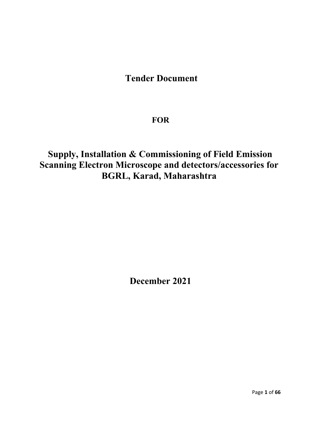## Tender Document

## **FOR**

## Supply, Installation & Commissioning of Field Emission Scanning Electron Microscope and detectors/accessories for BGRL, Karad, Maharashtra

December 2021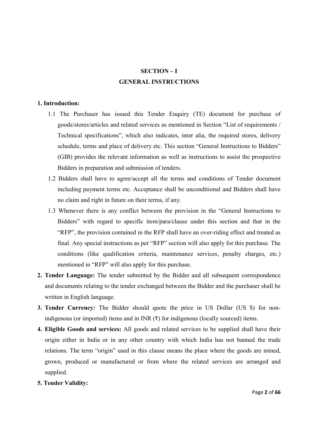## SECTION – I GENERAL INSTRUCTIONS

## 1. Introduction:

- 1.1 The Purchaser has issued this Tender Enquiry (TE) document for purchase of goods/stores/articles and related services as mentioned in Section "List of requirements / Technical specifications", which also indicates, inter alia, the required stores, delivery schedule, terms and place of delivery etc. This section "General Instructions to Bidders" (GIB) provides the relevant information as well as instructions to assist the prospective Bidders in preparation and submission of tenders.
- 1.2 Bidders shall have to agree/accept all the terms and conditions of Tender document including payment terms etc. Acceptance shall be unconditional and Bidders shall have no claim and right in future on their terms, if any.
- 1.3 Whenever there is any conflict between the provision in the "General Instructions to Bidders" with regard to specific item/para/clause under this section and that in the "RFP", the provision contained in the RFP shall have an over-riding effect and treated as final. Any special instructions as per "RFP" section will also apply for this purchase. The conditions (like qualification criteria, maintenance services, penalty charges, etc.) mentioned in "RFP" will also apply for this purchase.
- 2. Tender Language: The tender submitted by the Bidder and all subsequent correspondence and documents relating to the tender exchanged between the Bidder and the purchaser shall be written in English language.
- 3. Tender Currency: The Bidder should quote the price in US Dollar (US \$) for nonindigenous (or imported) items and in INR (₹) for indigenous (locally sourced) items.
- 4. Eligible Goods and services: All goods and related services to be supplied shall have their origin either in India or in any other country with which India has not banned the trade relations. The term "origin" used in this clause means the place where the goods are mined, grown, produced or manufactured or from where the related services are arranged and supplied.
- 5. Tender Validity: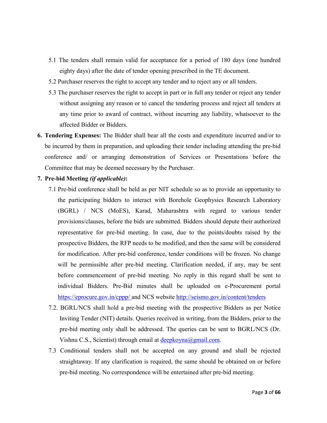- 5.1 The tenders shall remain valid for acceptance for a period of 180 days (one hundred eighty days) after the date of tender opening prescribed in the TE document.
- 5.2 Purchaser reserves the right to accept any tender and to reject any or all tenders.
- 5.3 The purchaser reserves the right to accept in part or in full any tender or reject any tender without assigning any reason or to cancel the tendering process and reject all tenders at any time prior to award of contract, without incurring any liability, whatsoever to the affected Bidder or Bidders.
- 6. Tendering Expenses: The Bidder shall bear all the costs and expenditure incurred and/or to be incurred by them in preparation, and uploading their tender including attending the pre-bid conference and/ or arranging demonstration of Services or Presentations before the Committee that may be deemed necessary by the Purchaser.
- 7. Pre-bid Meeting *(if applicable)*:
	- 7.1 Pre-bid conference shall be held as per NIT schedule so as to provide an opportunity to the participating bidders to interact with Borehole Geophysics Research Laboratory (BGRL) / NCS (MoES), Karad, Maharashtra with regard to various tender provisions/clauses, before the bids are submitted. Bidders should depute their authorized representative for pre-bid meeting. In case, due to the points/doubts raised by the prospective Bidders, the RFP needs to be modified, and then the same will be considered for modification. After pre-bid conference, tender conditions will be frozen. No change will be permissible after pre-bid meeting. Clarification needed, if any, may be sent before commencement of pre-bid meeting. No reply in this regard shall be sent to individual Bidders. Pre-Bid minutes shall b[e uploaded on e-Procurement por](http://seismo.gov.in/content/tenders)tal https://eprocure.gov.in/cppp/ and NCS website http://seismo.gov.in/content/tenders
	- 7.2. BGRL/NCS shall hold a pre-bid meeting with the prospective Bidders as per Notice Inviting Tender (NIT) details. Queries received in writing, from the Bidders, prior to the pre-bid meeting only shall be addressed. The queries can be sent to BGRL/NCS (Dr. Vishnu C.S., Scientist) through email at deepkoyna@gmail.com.
	- 7.3 Conditional tenders shall not be accepted on any ground and shall be rejected straightaway. If any clarification is required, the same should be obtained on or before pre-bid meeting. No correspondence will be entertained after pre-bid meeting.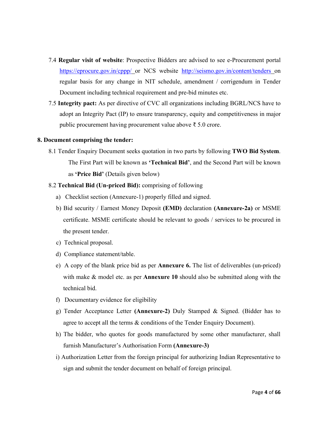- 7.4 Regular visit of website: Prospective Bidders are [advised to see e-Procurement porta](http://seismo.gov.in/content/tenders)l https://eprocure.gov.in/cppp/ or NCS website http://seismo.gov.in/content/tenders on regular basis for any change in NIT schedule, amendment / corrigendum in Tender Document including technical requirement and pre-bid minutes etc.
- 7.5 Integrity pact: As per directive of CVC all organizations including BGRL/NCS have to adopt an Integrity Pact (IP) to ensure transparency, equity and competitiveness in major public procurement having procurement value above ₹ 5.0 crore.

## 8. Document comprising the tender:

- 8.1 Tender Enquiry Document seeks quotation in two parts by following TWO Bid System. The First Part will be known as 'Technical Bid', and the Second Part will be known as 'Price Bid' (Details given below)
- 8.2 Technical Bid (Un-priced Bid): comprising of following
	- a) Checklist section (Annexure-1) properly filled and signed.
	- b) Bid security / Earnest Money Deposit (EMD) declaration (Annexure-2a) or MSME certificate. MSME certificate should be relevant to goods / services to be procured in the present tender.
	- c) Technical proposal.
	- d) Compliance statement/table.
	- e) A copy of the blank price bid as per Annexure 6. The list of deliverables (un-priced) with make  $\&$  model etc. as per **Annexure 10** should also be submitted along with the technical bid.
	- f) Documentary evidence for eligibility
	- g) Tender Acceptance Letter (Annexure-2) Duly Stamped & Signed. (Bidder has to agree to accept all the terms & conditions of the Tender Enquiry Document).
	- h) The bidder, who quotes for goods manufactured by some other manufacturer, shall furnish Manufacturer's Authorisation Form (Annexure-3)
	- i) Authorization Letter from the foreign principal for authorizing Indian Representative to sign and submit the tender document on behalf of foreign principal.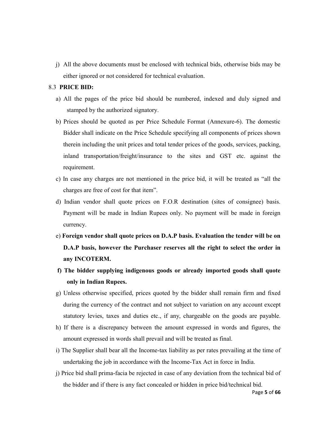j) All the above documents must be enclosed with technical bids, otherwise bids may be either ignored or not considered for technical evaluation.

## 8.3 PRICE BID:

- a) All the pages of the price bid should be numbered, indexed and duly signed and stamped by the authorized signatory.
- b) Prices should be quoted as per Price Schedule Format (Annexure-6). The domestic Bidder shall indicate on the Price Schedule specifying all components of prices shown therein including the unit prices and total tender prices of the goods, services, packing, inland transportation/freight/insurance to the sites and GST etc. against the requirement.
- c) In case any charges are not mentioned in the price bid, it will be treated as "all the charges are free of cost for that item".
- d) Indian vendor shall quote prices on F.O.R destination (sites of consignee) basis. Payment will be made in Indian Rupees only. No payment will be made in foreign currency.
- e) Foreign vendor shall quote prices on D.A.P basis. Evaluation the tender will be on D.A.P basis, however the Purchaser reserves all the right to select the order in any INCOTERM.
- f) The bidder supplying indigenous goods or already imported goods shall quote only in Indian Rupees.
- g) Unless otherwise specified, prices quoted by the bidder shall remain firm and fixed during the currency of the contract and not subject to variation on any account except statutory levies, taxes and duties etc., if any, chargeable on the goods are payable.
- h) If there is a discrepancy between the amount expressed in words and figures, the amount expressed in words shall prevail and will be treated as final.
- i) The Supplier shall bear all the Income-tax liability as per rates prevailing at the time of undertaking the job in accordance with the Income-Tax Act in force in India.
- j) Price bid shall prima-facia be rejected in case of any deviation from the technical bid of the bidder and if there is any fact concealed or hidden in price bid/technical bid.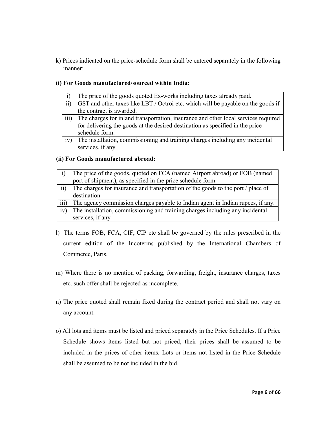k) Prices indicated on the price-schedule form shall be entered separately in the following manner:

## (i) For Goods manufactured/sourced within India:

|                  | The price of the goods quoted Ex-works including taxes already paid.                                                                                                |
|------------------|---------------------------------------------------------------------------------------------------------------------------------------------------------------------|
| $\overline{11}$  | GST and other taxes like LBT / Octroi etc. which will be payable on the goods if                                                                                    |
|                  | the contract is awarded.                                                                                                                                            |
| $\overline{iii}$ | The charges for inland transportation, insurance and other local services required<br>for delivering the goods at the desired destination as specified in the price |
|                  |                                                                                                                                                                     |
|                  | schedule form.                                                                                                                                                      |
| iv)              | The installation, commissioning and training charges including any incidental                                                                                       |
|                  | services, if any.                                                                                                                                                   |

## (ii) For Goods manufactured abroad:

|                  | The price of the goods, quoted on FCA (named Airport abroad) or FOB (named<br>port of shipment), as specified in the price schedule form. |
|------------------|-------------------------------------------------------------------------------------------------------------------------------------------|
| $\overline{ii}$  | The charges for insurance and transportation of the goods to the port / place of                                                          |
|                  | destination.                                                                                                                              |
| $\overline{iii}$ | The agency commission charges payable to Indian agent in Indian rupees, if any.                                                           |
| iv)              | The installation, commissioning and training charges including any incidental                                                             |
|                  | services, if any                                                                                                                          |

- l) The terms FOB, FCA, CIF, CIP etc shall be governed by the rules prescribed in the current edition of the Incoterms published by the International Chambers of Commerce, Paris.
- m) Where there is no mention of packing, forwarding, freight, insurance charges, taxes etc. such offer shall be rejected as incomplete.
- n) The price quoted shall remain fixed during the contract period and shall not vary on any account.
- o) All lots and items must be listed and priced separately in the Price Schedules. If a Price Schedule shows items listed but not priced, their prices shall be assumed to be included in the prices of other items. Lots or items not listed in the Price Schedule shall be assumed to be not included in the bid.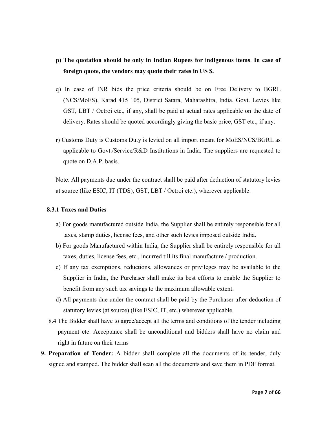## p) The quotation should be only in Indian Rupees for indigenous items. In case of foreign quote, the vendors may quote their rates in US \$.

- q) In case of INR bids the price criteria should be on Free Delivery to BGRL (NCS/MoES), Karad 415 105, District Satara, Maharashtra, India. Govt. Levies like GST, LBT / Octroi etc., if any, shall be paid at actual rates applicable on the date of delivery. Rates should be quoted accordingly giving the basic price, GST etc., if any.
- r) Customs Duty is Customs Duty is levied on all import meant for MoES/NCS/BGRL as applicable to Govt./Service/R&D Institutions in India. The suppliers are requested to quote on D.A.P. basis.

Note: All payments due under the contract shall be paid after deduction of statutory levies at source (like ESIC, IT (TDS), GST, LBT / Octroi etc.), wherever applicable.

## 8.3.1 Taxes and Duties

- a) For goods manufactured outside India, the Supplier shall be entirely responsible for all taxes, stamp duties, license fees, and other such levies imposed outside India.
- b) For goods Manufactured within India, the Supplier shall be entirely responsible for all taxes, duties, license fees, etc., incurred till its final manufacture / production.
- c) If any tax exemptions, reductions, allowances or privileges may be available to the Supplier in India, the Purchaser shall make its best efforts to enable the Supplier to benefit from any such tax savings to the maximum allowable extent.
- d) All payments due under the contract shall be paid by the Purchaser after deduction of statutory levies (at source) (like ESIC, IT, etc.) wherever applicable.
- 8.4 The Bidder shall have to agree/accept all the terms and conditions of the tender including payment etc. Acceptance shall be unconditional and bidders shall have no claim and right in future on their terms
- 9. Preparation of Tender: A bidder shall complete all the documents of its tender, duly signed and stamped. The bidder shall scan all the documents and save them in PDF format.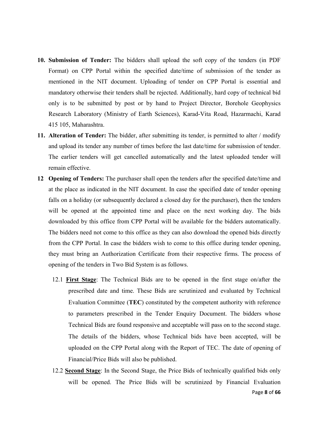- 10. Submission of Tender: The bidders shall upload the soft copy of the tenders (in PDF Format) on CPP Portal within the specified date/time of submission of the tender as mentioned in the NIT document. Uploading of tender on CPP Portal is essential and mandatory otherwise their tenders shall be rejected. Additionally, hard copy of technical bid only is to be submitted by post or by hand to Project Director, Borehole Geophysics Research Laboratory (Ministry of Earth Sciences), Karad-Vita Road, Hazarmachi, Karad 415 105, Maharashtra.
- 11. Alteration of Tender: The bidder, after submitting its tender, is permitted to alter / modify and upload its tender any number of times before the last date/time for submission of tender. The earlier tenders will get cancelled automatically and the latest uploaded tender will remain effective.
- 12 Opening of Tenders: The purchaser shall open the tenders after the specified date/time and at the place as indicated in the NIT document. In case the specified date of tender opening falls on a holiday (or subsequently declared a closed day for the purchaser), then the tenders will be opened at the appointed time and place on the next working day. The bids downloaded by this office from CPP Portal will be available for the bidders automatically. The bidders need not come to this office as they can also download the opened bids directly from the CPP Portal. In case the bidders wish to come to this office during tender opening, they must bring an Authorization Certificate from their respective firms. The process of opening of the tenders in Two Bid System is as follows.
	- 12.1 First Stage: The Technical Bids are to be opened in the first stage on/after the prescribed date and time. These Bids are scrutinized and evaluated by Technical Evaluation Committee (TEC) constituted by the competent authority with reference to parameters prescribed in the Tender Enquiry Document. The bidders whose Technical Bids are found responsive and acceptable will pass on to the second stage. The details of the bidders, whose Technical bids have been accepted, will be uploaded on the CPP Portal along with the Report of TEC. The date of opening of Financial/Price Bids will also be published.
	- 12.2 Second Stage: In the Second Stage, the Price Bids of technically qualified bids only will be opened. The Price Bids will be scrutinized by Financial Evaluation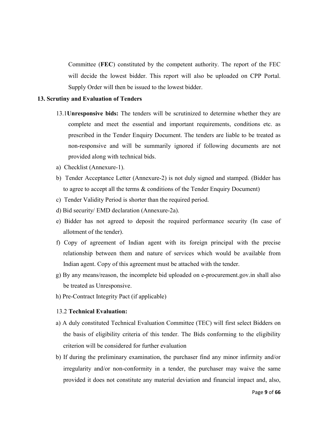Committee (FEC) constituted by the competent authority. The report of the FEC will decide the lowest bidder. This report will also be uploaded on CPP Portal. Supply Order will then be issued to the lowest bidder.

### 13. Scrutiny and Evaluation of Tenders

- 13.1Unresponsive bids: The tenders will be scrutinized to determine whether they are complete and meet the essential and important requirements, conditions etc. as prescribed in the Tender Enquiry Document. The tenders are liable to be treated as non-responsive and will be summarily ignored if following documents are not provided along with technical bids.
- a) Checklist (Annexure-1).
- b) Tender Acceptance Letter (Annexure-2) is not duly signed and stamped. (Bidder has to agree to accept all the terms & conditions of the Tender Enquiry Document)
- c) Tender Validity Period is shorter than the required period.
- d) Bid security/ EMD declaration (Annexure-2a).
- e) Bidder has not agreed to deposit the required performance security (In case of allotment of the tender).
- f) Copy of agreement of Indian agent with its foreign principal with the precise relationship between them and nature of services which would be available from Indian agent. Copy of this agreement must be attached with the tender.
- g) By any means/reason, the incomplete bid uploaded on e-procurement.gov.in shall also be treated as Unresponsive.
- h) Pre-Contract Integrity Pact (if applicable)

## 13.2 Technical Evaluation:

- a) A duly constituted Technical Evaluation Committee (TEC) will first select Bidders on the basis of eligibility criteria of this tender. The Bids conforming to the eligibility criterion will be considered for further evaluation
- b) If during the preliminary examination, the purchaser find any minor infirmity and/or irregularity and/or non-conformity in a tender, the purchaser may waive the same provided it does not constitute any material deviation and financial impact and, also,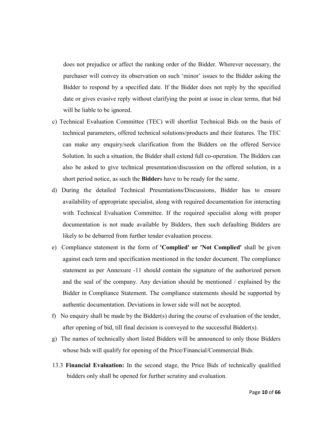does not prejudice or affect the ranking order of the Bidder. Wherever necessary, the purchaser will convey its observation on such 'minor' issues to the Bidder asking the Bidder to respond by a specified date. If the Bidder does not reply by the specified date or gives evasive reply without clarifying the point at issue in clear terms, that bid will be liable to be ignored.

- c) Technical Evaluation Committee (TEC) will shortlist Technical Bids on the basis of technical parameters, offered technical solutions/products and their features. The TEC can make any enquiry/seek clarification from the Bidders on the offered Service Solution. In such a situation, the Bidder shall extend full co-operation. The Bidders can also be asked to give technical presentation/discussion on the offered solution, in a short period notice, as such the Bidders have to be ready for the same.
- d) During the detailed Technical Presentations/Discussions, Bidder has to ensure availability of appropriate specialist, along with required documentation for interacting with Technical Evaluation Committee. If the required specialist along with proper documentation is not made available by Bidders, then such defaulting Bidders are likely to be debarred from further tender evaluation process.
- e) Compliance statement in the form of 'Complied' or 'Not Complied' shall be given against each term and specification mentioned in the tender document. The compliance statement as per Annexure -11 should contain the signature of the authorized person and the seal of the company. Any deviation should be mentioned / explained by the Bidder in Compliance Statement. The compliance statements should be supported by authentic documentation. Deviations in lower side will not be accepted.
- f) No enquiry shall be made by the Bidder(s) during the course of evaluation of the tender, after opening of bid, till final decision is conveyed to the successful Bidder(s).
- g) The names of technically short listed Bidders will be announced to only those Bidders whose bids will qualify for opening of the Price/Financial/Commercial Bids.
- 13.3 Financial Evaluation: In the second stage, the Price Bids of technically qualified bidders only shall be opened for further scrutiny and evaluation.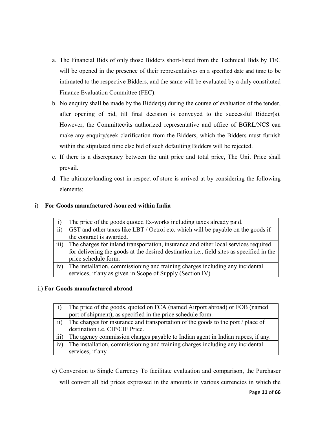- a. The Financial Bids of only those Bidders short-listed from the Technical Bids by TEC will be opened in the presence of their representatives on a specified date and time to be intimated to the respective Bidders, and the same will be evaluated by a duly constituted Finance Evaluation Committee (FEC).
- b. No enquiry shall be made by the Bidder(s) during the course of evaluation of the tender, after opening of bid, till final decision is conveyed to the successful Bidder(s). However, the Committee/its authorized representative and office of BGRL/NCS can make any enquiry/seek clarification from the Bidders, which the Bidders must furnish within the stipulated time else bid of such defaulting Bidders will be rejected.
- c. If there is a discrepancy between the unit price and total price, The Unit Price shall prevail.
- d. The ultimate/landing cost in respect of store is arrived at by considering the following elements:

## i) For Goods manufactured /sourced within India

|                  | The price of the goods quoted Ex-works including taxes already paid.                              |
|------------------|---------------------------------------------------------------------------------------------------|
| $\overline{11}$  | GST and other taxes like LBT / Octroi etc. which will be payable on the goods if                  |
|                  | the contract is awarded.                                                                          |
| $\overline{iii}$ | The charges for inland transportation, insurance and other local services required                |
|                  | for delivering the goods at the desired destination <i>i.e.</i> , field sites as specified in the |
|                  | price schedule form.                                                                              |
| iv)              | The installation, commissioning and training charges including any incidental                     |
|                  | services, if any as given in Scope of Supply (Section IV)                                         |
|                  |                                                                                                   |

## ii) For Goods manufactured abroad

|                 | The price of the goods, quoted on FCA (named Airport abroad) or FOB (named       |
|-----------------|----------------------------------------------------------------------------------|
|                 | port of shipment), as specified in the price schedule form.                      |
| $\overline{11}$ | The charges for insurance and transportation of the goods to the port / place of |
|                 | destination i.e. CIP/CIF Price.                                                  |
| iii)            | The agency commission charges payable to Indian agent in Indian rupees, if any.  |
| 1V)             | The installation, commissioning and training charges including any incidental    |
|                 | services, if any                                                                 |

e) Conversion to Single Currency To facilitate evaluation and comparison, the Purchaser will convert all bid prices expressed in the amounts in various currencies in which the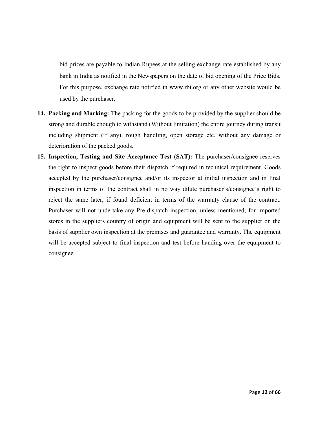bid prices are payable to Indian Rupees at the selling exchange rate established by any bank in India as notified in the Newspapers on the date of bid opening of the Price Bids. For this purpose, exchange rate notified in www.rbi.org or any other website would be used by the purchaser.

- 14. Packing and Marking: The packing for the goods to be provided by the supplier should be strong and durable enough to withstand (Without limitation) the entire journey during transit including shipment (if any), rough handling, open storage etc. without any damage or deterioration of the packed goods.
- 15. Inspection, Testing and Site Acceptance Test (SAT): The purchaser/consignee reserves the right to inspect goods before their dispatch if required in technical requirement. Goods accepted by the purchaser/consignee and/or its inspector at initial inspection and in final inspection in terms of the contract shall in no way dilute purchaser's/consignee's right to reject the same later, if found deficient in terms of the warranty clause of the contract. Purchaser will not undertake any Pre-dispatch inspection, unless mentioned, for imported stores in the suppliers country of origin and equipment will be sent to the supplier on the basis of supplier own inspection at the premises and guarantee and warranty. The equipment will be accepted subject to final inspection and test before handing over the equipment to consignee.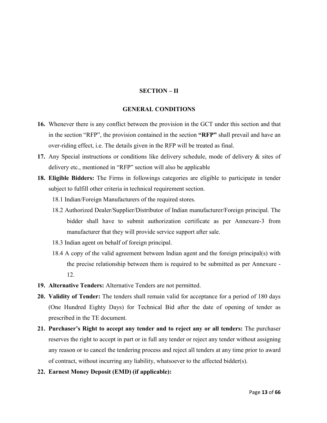## SECTION – II

## GENERAL CONDITIONS

- 16. Whenever there is any conflict between the provision in the GCT under this section and that in the section "RFP", the provision contained in the section "RFP" shall prevail and have an over-riding effect, i.e. The details given in the RFP will be treated as final.
- 17. Any Special instructions or conditions like delivery schedule, mode of delivery & sites of delivery etc., mentioned in "RFP" section will also be applicable
- 18. Eligible Bidders: The Firms in followings categories are eligible to participate in tender subject to fulfill other criteria in technical requirement section.
	- 18.1 Indian/Foreign Manufacturers of the required stores.
	- 18.2 Authorized Dealer/Supplier/Distributor of Indian manufacturer/Foreign principal. The bidder shall have to submit authorization certificate as per Annexure-3 from manufacturer that they will provide service support after sale.
	- 18.3 Indian agent on behalf of foreign principal.
	- 18.4 A copy of the valid agreement between Indian agent and the foreign principal(s) with the precise relationship between them is required to be submitted as per Annexure - 12.
- 19. Alternative Tenders: Alternative Tenders are not permitted.
- 20. Validity of Tender: The tenders shall remain valid for acceptance for a period of 180 days (One Hundred Eighty Days) for Technical Bid after the date of opening of tender as prescribed in the TE document.
- 21. Purchaser's Right to accept any tender and to reject any or all tenders: The purchaser reserves the right to accept in part or in full any tender or reject any tender without assigning any reason or to cancel the tendering process and reject all tenders at any time prior to award of contract, without incurring any liability, whatsoever to the affected bidder(s).
- 22. Earnest Money Deposit (EMD) (if applicable):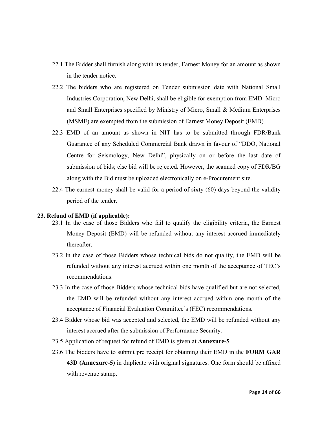- 22.1 The Bidder shall furnish along with its tender, Earnest Money for an amount as shown in the tender notice.
- 22.2 The bidders who are registered on Tender submission date with National Small Industries Corporation, New Delhi, shall be eligible for exemption from EMD. Micro and Small Enterprises specified by Ministry of Micro, Small & Medium Enterprises (MSME) are exempted from the submission of Earnest Money Deposit (EMD).
- 22.3 EMD of an amount as shown in NIT has to be submitted through FDR/Bank Guarantee of any Scheduled Commercial Bank drawn in favour of "DDO, National Centre for Seismology, New Delhi", physically on or before the last date of submission of bids; else bid will be rejected. However, the scanned copy of FDR/BG along with the Bid must be uploaded electronically on e-Procurement site.
- 22.4 The earnest money shall be valid for a period of sixty (60) days beyond the validity period of the tender.

## 23. Refund of EMD (if applicable):

- 23.1 In the case of those Bidders who fail to qualify the eligibility criteria, the Earnest Money Deposit (EMD) will be refunded without any interest accrued immediately thereafter.
- 23.2 In the case of those Bidders whose technical bids do not qualify, the EMD will be refunded without any interest accrued within one month of the acceptance of TEC's recommendations.
- 23.3 In the case of those Bidders whose technical bids have qualified but are not selected, the EMD will be refunded without any interest accrued within one month of the acceptance of Financial Evaluation Committee's (FEC) recommendations.
- 23.4 Bidder whose bid was accepted and selected, the EMD will be refunded without any interest accrued after the submission of Performance Security.
- 23.5 Application of request for refund of EMD is given at Annexure-5
- 23.6 The bidders have to submit pre receipt for obtaining their EMD in the FORM GAR 43D (Annexure-5) in duplicate with original signatures. One form should be affixed with revenue stamp.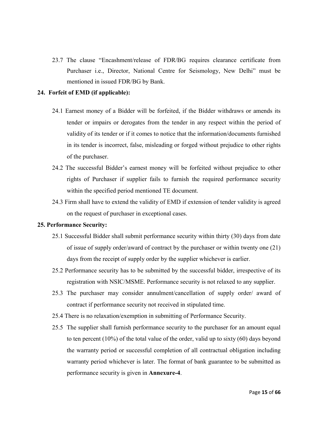23.7 The clause "Encashment/release of FDR/BG requires clearance certificate from Purchaser i.e., Director, National Centre for Seismology, New Delhi" must be mentioned in issued FDR/BG by Bank.

## 24. Forfeit of EMD (if applicable):

- 24.1 Earnest money of a Bidder will be forfeited, if the Bidder withdraws or amends its tender or impairs or derogates from the tender in any respect within the period of validity of its tender or if it comes to notice that the information/documents furnished in its tender is incorrect, false, misleading or forged without prejudice to other rights of the purchaser.
- 24.2 The successful Bidder's earnest money will be forfeited without prejudice to other rights of Purchaser if supplier fails to furnish the required performance security within the specified period mentioned TE document.
- 24.3 Firm shall have to extend the validity of EMD if extension of tender validity is agreed on the request of purchaser in exceptional cases.

### 25. Performance Security:

- 25.1 Successful Bidder shall submit performance security within thirty (30) days from date of issue of supply order/award of contract by the purchaser or within twenty one (21) days from the receipt of supply order by the supplier whichever is earlier.
- 25.2 Performance security has to be submitted by the successful bidder, irrespective of its registration with NSIC/MSME. Performance security is not relaxed to any supplier.
- 25.3 The purchaser may consider annulment/cancellation of supply order/ award of contract if performance security not received in stipulated time.
- 25.4 There is no relaxation/exemption in submitting of Performance Security.
- 25.5 The supplier shall furnish performance security to the purchaser for an amount equal to ten percent (10%) of the total value of the order, valid up to sixty (60) days beyond the warranty period or successful completion of all contractual obligation including warranty period whichever is later. The format of bank guarantee to be submitted as performance security is given in Annexure-4.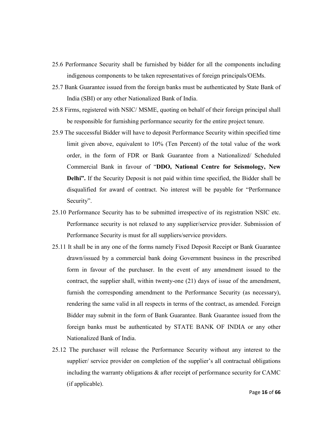- 25.6 Performance Security shall be furnished by bidder for all the components including indigenous components to be taken representatives of foreign principals/OEMs.
- 25.7 Bank Guarantee issued from the foreign banks must be authenticated by State Bank of India (SBI) or any other Nationalized Bank of India.
- 25.8 Firms, registered with NSIC/ MSME, quoting on behalf of their foreign principal shall be responsible for furnishing performance security for the entire project tenure.
- 25.9 The successful Bidder will have to deposit Performance Security within specified time limit given above, equivalent to 10% (Ten Percent) of the total value of the work order, in the form of FDR or Bank Guarantee from a Nationalized/ Scheduled Commercial Bank in favour of "DDO, National Centre for Seismology, New Delhi". If the Security Deposit is not paid within time specified, the Bidder shall be disqualified for award of contract. No interest will be payable for "Performance Security".
- 25.10 Performance Security has to be submitted irrespective of its registration NSIC etc. Performance security is not relaxed to any supplier/service provider. Submission of Performance Security is must for all suppliers/service providers.
- 25.11 It shall be in any one of the forms namely Fixed Deposit Receipt or Bank Guarantee drawn/issued by a commercial bank doing Government business in the prescribed form in favour of the purchaser. In the event of any amendment issued to the contract, the supplier shall, within twenty-one (21) days of issue of the amendment, furnish the corresponding amendment to the Performance Security (as necessary), rendering the same valid in all respects in terms of the contract, as amended. Foreign Bidder may submit in the form of Bank Guarantee. Bank Guarantee issued from the foreign banks must be authenticated by STATE BANK OF INDIA or any other Nationalized Bank of India.
- 25.12 The purchaser will release the Performance Security without any interest to the supplier/ service provider on completion of the supplier's all contractual obligations including the warranty obligations & after receipt of performance security for CAMC (if applicable).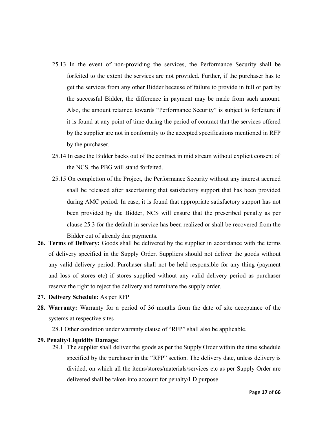- 25.13 In the event of non-providing the services, the Performance Security shall be forfeited to the extent the services are not provided. Further, if the purchaser has to get the services from any other Bidder because of failure to provide in full or part by the successful Bidder, the difference in payment may be made from such amount. Also, the amount retained towards "Performance Security" is subject to forfeiture if it is found at any point of time during the period of contract that the services offered by the supplier are not in conformity to the accepted specifications mentioned in RFP by the purchaser.
- 25.14 In case the Bidder backs out of the contract in mid stream without explicit consent of the NCS, the PBG will stand forfeited.
- 25.15 On completion of the Project, the Performance Security without any interest accrued shall be released after ascertaining that satisfactory support that has been provided during AMC period. In case, it is found that appropriate satisfactory support has not been provided by the Bidder, NCS will ensure that the prescribed penalty as per clause 25.3 for the default in service has been realized or shall be recovered from the Bidder out of already due payments.
- 26. Terms of Delivery: Goods shall be delivered by the supplier in accordance with the terms of delivery specified in the Supply Order. Suppliers should not deliver the goods without any valid delivery period. Purchaser shall not be held responsible for any thing (payment and loss of stores etc) if stores supplied without any valid delivery period as purchaser reserve the right to reject the delivery and terminate the supply order.
- 27. Delivery Schedule: As per RFP
- 28. Warranty: Warranty for a period of 36 months from the date of site acceptance of the systems at respective sites

28.1 Other condition under warranty clause of "RFP" shall also be applicable.

## 29. Penalty/Liquidity Damage:

29.1 The supplier shall deliver the goods as per the Supply Order within the time schedule specified by the purchaser in the "RFP" section. The delivery date, unless delivery is divided, on which all the items/stores/materials/services etc as per Supply Order are delivered shall be taken into account for penalty/LD purpose.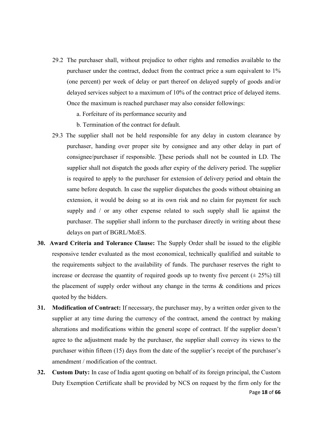- 29.2 The purchaser shall, without prejudice to other rights and remedies available to the purchaser under the contract, deduct from the contract price a sum equivalent to 1% (one percent) per week of delay or part thereof on delayed supply of goods and/or delayed services subject to a maximum of 10% of the contract price of delayed items. Once the maximum is reached purchaser may also consider followings:
	- a. Forfeiture of its performance security and
	- b. Termination of the contract for default.
- 29.3 The supplier shall not be held responsible for any delay in custom clearance by purchaser, handing over proper site by consignee and any other delay in part of consignee/purchaser if responsible. These periods shall not be counted in LD. The supplier shall not dispatch the goods after expiry of the delivery period. The supplier is required to apply to the purchaser for extension of delivery period and obtain the same before despatch. In case the supplier dispatches the goods without obtaining an extension, it would be doing so at its own risk and no claim for payment for such supply and / or any other expense related to such supply shall lie against the purchaser. The supplier shall inform to the purchaser directly in writing about these delays on part of BGRL/MoES.
- 30. Award Criteria and Tolerance Clause: The Supply Order shall be issued to the eligible responsive tender evaluated as the most economical, technically qualified and suitable to the requirements subject to the availability of funds. The purchaser reserves the right to increase or decrease the quantity of required goods up to twenty five percent  $(\pm 25\%)$  till the placement of supply order without any change in the terms  $\&$  conditions and prices quoted by the bidders.
- 31. Modification of Contract: If necessary, the purchaser may, by a written order given to the supplier at any time during the currency of the contract, amend the contract by making alterations and modifications within the general scope of contract. If the supplier doesn't agree to the adjustment made by the purchaser, the supplier shall convey its views to the purchaser within fifteen (15) days from the date of the supplier's receipt of the purchaser's amendment / modification of the contract.
- 32. Custom Duty: In case of India agent quoting on behalf of its foreign principal, the Custom Duty Exemption Certificate shall be provided by NCS on request by the firm only for the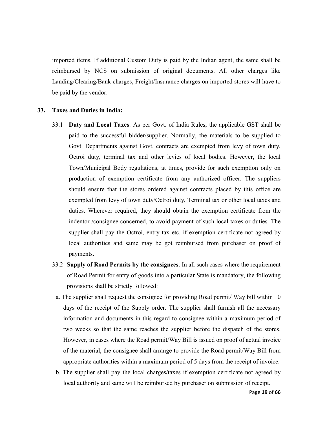imported items. If additional Custom Duty is paid by the Indian agent, the same shall be reimbursed by NCS on submission of original documents. All other charges like Landing/Clearing/Bank charges, Freight/Insurance charges on imported stores will have to be paid by the vendor.

## 33. Taxes and Duties in India:

- 33.1 Duty and Local Taxes: As per Govt. of India Rules, the applicable GST shall be paid to the successful bidder/supplier. Normally, the materials to be supplied to Govt. Departments against Govt. contracts are exempted from levy of town duty, Octroi duty, terminal tax and other levies of local bodies. However, the local Town/Municipal Body regulations, at times, provide for such exemption only on production of exemption certificate from any authorized officer. The suppliers should ensure that the stores ordered against contracts placed by this office are exempted from levy of town duty/Octroi duty, Terminal tax or other local taxes and duties. Wherever required, they should obtain the exemption certificate from the indentor /consignee concerned, to avoid payment of such local taxes or duties. The supplier shall pay the Octroi, entry tax etc. if exemption certificate not agreed by local authorities and same may be got reimbursed from purchaser on proof of payments.
- 33.2 Supply of Road Permits by the consignees: In all such cases where the requirement of Road Permit for entry of goods into a particular State is mandatory, the following provisions shall be strictly followed:
	- a. The supplier shall request the consignee for providing Road permit/ Way bill within 10 days of the receipt of the Supply order. The supplier shall furnish all the necessary information and documents in this regard to consignee within a maximum period of two weeks so that the same reaches the supplier before the dispatch of the stores. However, in cases where the Road permit/Way Bill is issued on proof of actual invoice of the material, the consignee shall arrange to provide the Road permit/Way Bill from appropriate authorities within a maximum period of 5 days from the receipt of invoice.
	- b. The supplier shall pay the local charges/taxes if exemption certificate not agreed by local authority and same will be reimbursed by purchaser on submission of receipt.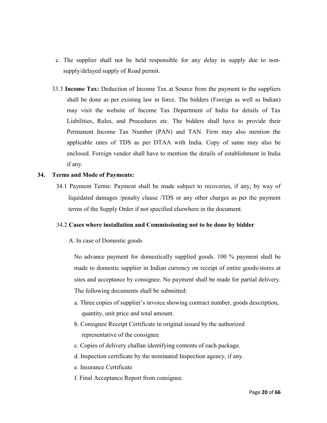- c. The supplier shall not be held responsible for any delay in supply due to nonsupply/delayed supply of Road permit.
- 33.3 Income Tax: Deduction of Income Tax at Source from the payment to the suppliers shall be done as per existing law in force. The bidders (Foreign as well as Indian) may visit the website of Income Tax Department of India for details of Tax Liabilities, Rules, and Procedures etc. The bidders shall have to provide their Permanent Income Tax Number (PAN) and TAN. Firm may also mention the applicable rates of TDS as per DTAA with India. Copy of same may also be enclosed. Foreign vendor shall have to mention the details of establishment in India if any.

## 34. Terms and Mode of Payments:

34.1 Payment Terms: Payment shall be made subject to recoveries, if any, by way of liquidated damages /penalty clause /TDS or any other charges as per the payment terms of the Supply Order if not specified elsewhere in the document.

## 34.2 Cases where installation and Commissioning not to be done by bidder

## A. In case of Domestic goods

No advance payment for domestically supplied goods. 100 % payment shall be made to domestic supplier in Indian currency on receipt of entire goods/stores at sites and acceptance by consignee. No payment shall be made for partial delivery. The following documents shall be submitted:

- a. Three copies of supplier's invoice showing contract number, goods description, quantity, unit price and total amount.
- b. Consignee Receipt Certificate in original issued by the authorized representative of the consignee
- c. Copies of delivery challan identifying contents of each package.
- d. Inspection certificate by the nominated Inspection agency, if any.
- e. Insurance Certificate
- f. Final Acceptance Report from consignee.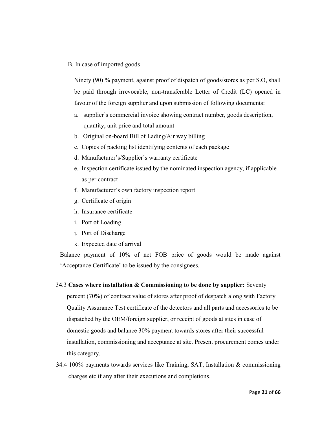## B. In case of imported goods

Ninety (90) % payment, against proof of dispatch of goods/stores as per S.O, shall be paid through irrevocable, non-transferable Letter of Credit (LC) opened in favour of the foreign supplier and upon submission of following documents:

- a. supplier's commercial invoice showing contract number, goods description, quantity, unit price and total amount
- b. Original on-board Bill of Lading/Air way billing
- c. Copies of packing list identifying contents of each package
- d. Manufacturer's/Supplier's warranty certificate
- e. Inspection certificate issued by the nominated inspection agency, if applicable as per contract
- f. Manufacturer's own factory inspection report
- g. Certificate of origin
- h. Insurance certificate
- i. Port of Loading
- j. Port of Discharge
- k. Expected date of arrival

Balance payment of 10% of net FOB price of goods would be made against 'Acceptance Certificate' to be issued by the consignees.

### 34.3 Cases where installation & Commissioning to be done by supplier: Seventy

percent (70%) of contract value of stores after proof of despatch along with Factory Quality Assurance Test certificate of the detectors and all parts and accessories to be dispatched by the OEM/foreign supplier, or receipt of goods at sites in case of domestic goods and balance 30% payment towards stores after their successful installation, commissioning and acceptance at site. Present procurement comes under this category.

34.4 100% payments towards services like Training, SAT, Installation & commissioning charges etc if any after their executions and completions.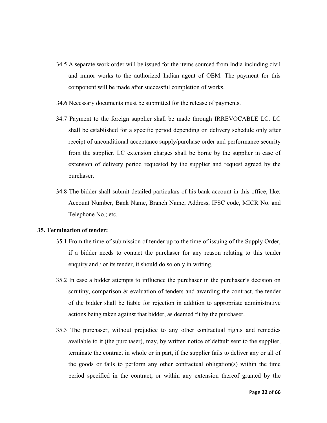- 34.5 A separate work order will be issued for the items sourced from India including civil and minor works to the authorized Indian agent of OEM. The payment for this component will be made after successful completion of works.
- 34.6 Necessary documents must be submitted for the release of payments.
- 34.7 Payment to the foreign supplier shall be made through IRREVOCABLE LC. LC shall be established for a specific period depending on delivery schedule only after receipt of unconditional acceptance supply/purchase order and performance security from the supplier. LC extension charges shall be borne by the supplier in case of extension of delivery period requested by the supplier and request agreed by the purchaser.
- 34.8 The bidder shall submit detailed particulars of his bank account in this office, like: Account Number, Bank Name, Branch Name, Address, IFSC code, MICR No. and Telephone No.; etc.

## 35. Termination of tender:

- 35.1 From the time of submission of tender up to the time of issuing of the Supply Order, if a bidder needs to contact the purchaser for any reason relating to this tender enquiry and / or its tender, it should do so only in writing.
- 35.2 In case a bidder attempts to influence the purchaser in the purchaser's decision on scrutiny, comparison  $\&$  evaluation of tenders and awarding the contract, the tender of the bidder shall be liable for rejection in addition to appropriate administrative actions being taken against that bidder, as deemed fit by the purchaser.
- 35.3 The purchaser, without prejudice to any other contractual rights and remedies available to it (the purchaser), may, by written notice of default sent to the supplier, terminate the contract in whole or in part, if the supplier fails to deliver any or all of the goods or fails to perform any other contractual obligation(s) within the time period specified in the contract, or within any extension thereof granted by the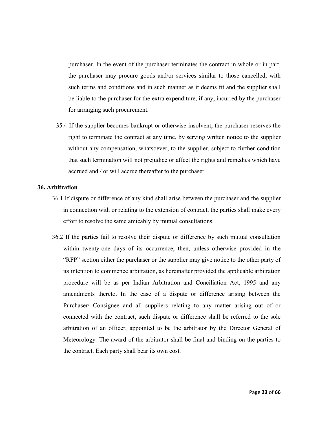purchaser. In the event of the purchaser terminates the contract in whole or in part, the purchaser may procure goods and/or services similar to those cancelled, with such terms and conditions and in such manner as it deems fit and the supplier shall be liable to the purchaser for the extra expenditure, if any, incurred by the purchaser for arranging such procurement.

35.4 If the supplier becomes bankrupt or otherwise insolvent, the purchaser reserves the right to terminate the contract at any time, by serving written notice to the supplier without any compensation, whatsoever, to the supplier, subject to further condition that such termination will not prejudice or affect the rights and remedies which have accrued and / or will accrue thereafter to the purchaser

## 36. Arbitration

- 36.1 If dispute or difference of any kind shall arise between the purchaser and the supplier in connection with or relating to the extension of contract, the parties shall make every effort to resolve the same amicably by mutual consultations.
- 36.2 If the parties fail to resolve their dispute or difference by such mutual consultation within twenty-one days of its occurrence, then, unless otherwise provided in the "RFP" section either the purchaser or the supplier may give notice to the other party of its intention to commence arbitration, as hereinafter provided the applicable arbitration procedure will be as per Indian Arbitration and Conciliation Act, 1995 and any amendments thereto. In the case of a dispute or difference arising between the Purchaser/ Consignee and all suppliers relating to any matter arising out of or connected with the contract, such dispute or difference shall be referred to the sole arbitration of an officer, appointed to be the arbitrator by the Director General of Meteorology. The award of the arbitrator shall be final and binding on the parties to the contract. Each party shall bear its own cost.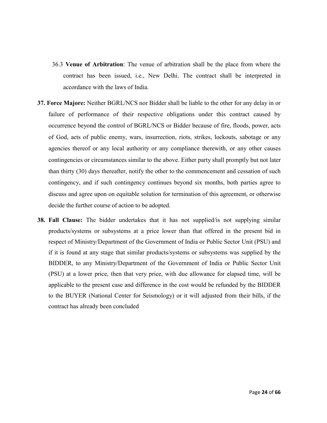- 36.3 Venue of Arbitration: The venue of arbitration shall be the place from where the contract has been issued, i.e., New Delhi. The contract shall be interpreted in accordance with the laws of India.
- 37. Force Majore: Neither BGRL/NCS nor Bidder shall be liable to the other for any delay in or failure of performance of their respective obligations under this contract caused by occurrence beyond the control of BGRL/NCS or Bidder because of fire, floods, power, acts of God, acts of public enemy, wars, insurrection, riots, strikes, lockouts, sabotage or any agencies thereof or any local authority or any compliance therewith, or any other causes contingencies or circumstances similar to the above. Either party shall promptly but not later than thirty (30) days thereafter, notify the other to the commencement and cessation of such contingency, and if such contingency continues beyond six months, both parties agree to discuss and agree upon on equitable solution for termination of this agreement, or otherwise decide the further course of action to be adopted.
- 38. Fall Clause: The bidder undertakes that it has not supplied/is not supplying similar products/systems or subsystems at a price lower than that offered in the present bid in respect of Ministry/Department of the Government of India or Public Sector Unit (PSU) and if it is found at any stage that similar products/systems or subsystems was supplied by the BIDDER, to any Ministry/Department of the Government of India or Public Sector Unit (PSU) at a lower price, then that very price, with due allowance for elapsed time, will be applicable to the present case and difference in the cost would be refunded by the BIDDER to the BUYER (National Center for Seismology) or it will adjusted from their bills, if the contract has already been concluded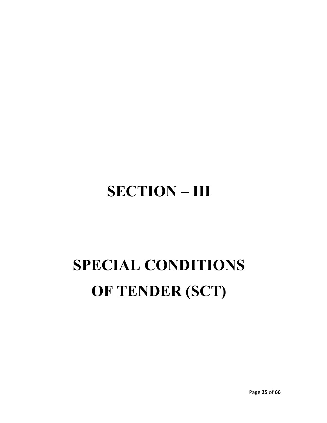## SECTION – III

# SPECIAL CONDITIONS OF TENDER (SCT)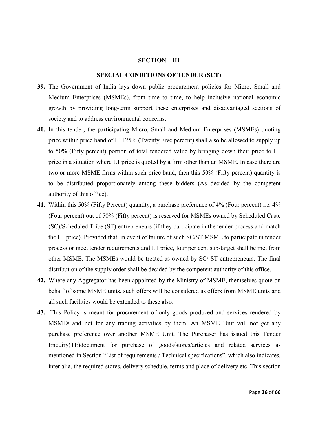#### SECTION – III

### SPECIAL CONDITIONS OF TENDER (SCT)

- 39. The Government of India lays down public procurement policies for Micro, Small and Medium Enterprises (MSMEs), from time to time, to help inclusive national economic growth by providing long-term support these enterprises and disadvantaged sections of society and to address environmental concerns.
- 40. In this tender, the participating Micro, Small and Medium Enterprises (MSMEs) quoting price within price band of L1+25% (Twenty Five percent) shall also be allowed to supply up to 50% (Fifty percent) portion of total tendered value by bringing down their price to L1 price in a situation where L1 price is quoted by a firm other than an MSME. In case there are two or more MSME firms within such price band, then this 50% (Fifty percent) quantity is to be distributed proportionately among these bidders (As decided by the competent authority of this office).
- 41. Within this 50% (Fifty Percent) quantity, a purchase preference of 4% (Four percent) i.e. 4% (Four percent) out of 50% (Fifty percent) is reserved for MSMEs owned by Scheduled Caste (SC)/Scheduled Tribe (ST) entrepreneurs (if they participate in the tender process and match the L1 price). Provided that, in event of failure of such SC/ST MSME to participate in tender process or meet tender requirements and L1 price, four per cent sub-target shall be met from other MSME. The MSMEs would be treated as owned by SC/ ST entrepreneurs. The final distribution of the supply order shall be decided by the competent authority of this office.
- 42. Where any Aggregator has been appointed by the Ministry of MSME, themselves quote on behalf of some MSME units, such offers will be considered as offers from MSME units and all such facilities would be extended to these also.
- 43. This Policy is meant for procurement of only goods produced and services rendered by MSMEs and not for any trading activities by them. An MSME Unit will not get any purchase preference over another MSME Unit. The Purchaser has issued this Tender Enquiry(TE)document for purchase of goods/stores/articles and related services as mentioned in Section "List of requirements / Technical specifications", which also indicates, inter alia, the required stores, delivery schedule, terms and place of delivery etc. This section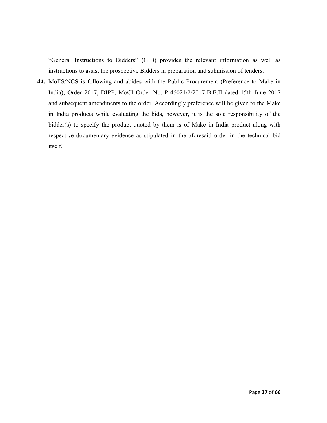"General Instructions to Bidders" (GIB) provides the relevant information as well as instructions to assist the prospective Bidders in preparation and submission of tenders.

44. MoES/NCS is following and abides with the Public Procurement (Preference to Make in India), Order 2017, DIPP, MoCI Order No. P-46021/2/2017-B.E.II dated 15th June 2017 and subsequent amendments to the order. Accordingly preference will be given to the Make in India products while evaluating the bids, however, it is the sole responsibility of the bidder(s) to specify the product quoted by them is of Make in India product along with respective documentary evidence as stipulated in the aforesaid order in the technical bid itself.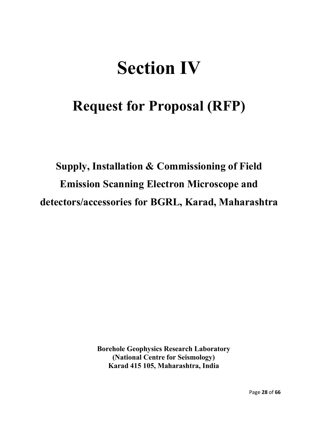## Section IV

## Request for Proposal (RFP)

Supply, Installation & Commissioning of Field Emission Scanning Electron Microscope and detectors/accessories for BGRL, Karad, Maharashtra

> Borehole Geophysics Research Laboratory (National Centre for Seismology) Karad 415 105, Maharashtra, India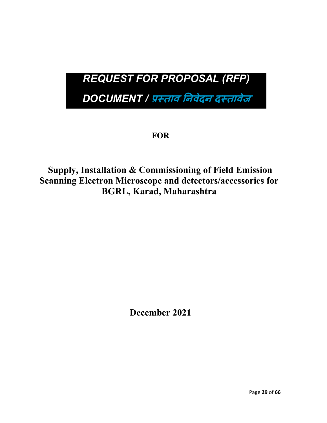## *REQUEST FOR PROPOSAL (RFP)*

*DOCUMENT /* ताव नवेदन दतावेज

**FOR** 

## Supply, Installation & Commissioning of Field Emission Scanning Electron Microscope and detectors/accessories for BGRL, Karad, Maharashtra

December 2021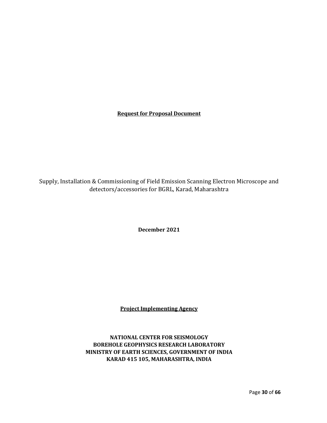## Request for Proposal Document

Supply, Installation & Commissioning of Field Emission Scanning Electron Microscope and detectors/accessories for BGRL, Karad, Maharashtra

December 2021

Project Implementing Agency

NATIONAL CENTER FOR SEISMOLOGY BOREHOLE GEOPHYSICS RESEARCH LABORATORY MINISTRY OF EARTH SCIENCES, GOVERNMENT OF INDIA KARAD 415 105, MAHARASHTRA, INDIA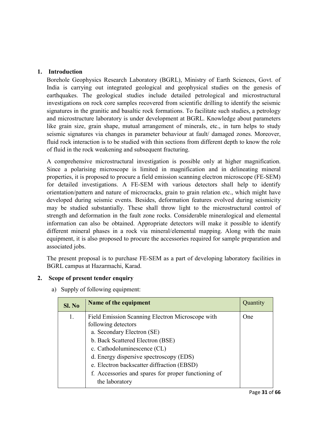## 1. Introduction

Borehole Geophysics Research Laboratory (BGRL), Ministry of Earth Sciences, Govt. of India is carrying out integrated geological and geophysical studies on the genesis of earthquakes. The geological studies include detailed petrological and microstructural investigations on rock core samples recovered from scientific drilling to identify the seismic signatures in the granitic and basaltic rock formations. To facilitate such studies, a petrology and microstructure laboratory is under development at BGRL. Knowledge about parameters like grain size, grain shape, mutual arrangement of minerals, etc., in turn helps to study seismic signatures via changes in parameter behaviour at fault/ damaged zones. Moreover, fluid rock interaction is to be studied with thin sections from different depth to know the role of fluid in the rock weakening and subsequent fracturing.

A comprehensive microstructural investigation is possible only at higher magnification. Since a polarising microscope is limited in magnification and in delineating mineral properties, it is proposed to procure a field emission scanning electron microscope (FE-SEM) for detailed investigations. A FE-SEM with various detectors shall help to identify orientation/pattern and nature of microcracks, grain to grain relation etc., which might have developed during seismic events. Besides, deformation features evolved during seismicity may be studied substantially. These shall throw light to the microstructural control of strength and deformation in the fault zone rocks. Considerable mineralogical and elemental information can also be obtained. Appropriate detectors will make it possible to identify different mineral phases in a rock via mineral/elemental mapping. Along with the main equipment, it is also proposed to procure the accessories required for sample preparation and associated jobs.

The present proposal is to purchase FE-SEM as a part of developing laboratory facilities in BGRL campus at Hazarmachi, Karad.

## 2. Scope of present tender enquiry

a) Supply of following equipment:

| Sl. No | Name of the equipment                                                                                                                                                                                                                                                                                                                      | Quantity |
|--------|--------------------------------------------------------------------------------------------------------------------------------------------------------------------------------------------------------------------------------------------------------------------------------------------------------------------------------------------|----------|
| 1.     | Field Emission Scanning Electron Microscope with<br>following detectors<br>a. Secondary Electron (SE)<br>b. Back Scattered Electron (BSE)<br>c. Cathodoluminescence (CL)<br>d. Energy dispersive spectroscopy (EDS)<br>e. Electron backscatter diffraction (EBSD)<br>f. Accessories and spares for proper functioning of<br>the laboratory | One      |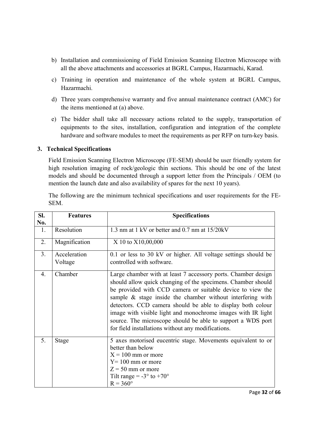- b) Installation and commissioning of Field Emission Scanning Electron Microscope with all the above attachments and accessories at BGRL Campus, Hazarmachi, Karad.
- c) Training in operation and maintenance of the whole system at BGRL Campus, Hazarmachi.
- d) Three years comprehensive warranty and five annual maintenance contract (AMC) for the items mentioned at (a) above.
- e) The bidder shall take all necessary actions related to the supply, transportation of equipments to the sites, installation, configuration and integration of the complete hardware and software modules to meet the requirements as per RFP on turn-key basis.

## 3. Technical Specifications

Field Emission Scanning Electron Microscope (FE-SEM) should be user friendly system for high resolution imaging of rock/geologic thin sections. This should be one of the latest models and should be documented through a support letter from the Principals / OEM (to mention the launch date and also availability of spares for the next 10 years).

The following are the minimum technical specifications and user requirements for the FE-SEM.

| SI.<br>No.     | <b>Features</b>         | <b>Specifications</b>                                                                                                                                                                                                                                                                                                                                                                                                                                                                                            |  |
|----------------|-------------------------|------------------------------------------------------------------------------------------------------------------------------------------------------------------------------------------------------------------------------------------------------------------------------------------------------------------------------------------------------------------------------------------------------------------------------------------------------------------------------------------------------------------|--|
| 1.             | Resolution              | 1.3 nm at 1 kV or better and 0.7 nm at 15/20 kV                                                                                                                                                                                                                                                                                                                                                                                                                                                                  |  |
| 2.             | Magnification           | X 10 to X10,00,000                                                                                                                                                                                                                                                                                                                                                                                                                                                                                               |  |
| 3 <sub>1</sub> | Acceleration<br>Voltage | 0.1 or less to 30 kV or higher. All voltage settings should be<br>controlled with software.                                                                                                                                                                                                                                                                                                                                                                                                                      |  |
| 4.             | Chamber                 | Large chamber with at least 7 accessory ports. Chamber design<br>should allow quick changing of the specimens. Chamber should<br>be provided with CCD camera or suitable device to view the<br>sample $\&$ stage inside the chamber without interfering with<br>detectors. CCD camera should be able to display both colour<br>image with visible light and monochrome images with IR light<br>source. The microscope should be able to support a WDS port<br>for field installations without any modifications. |  |
| 5.             | Stage                   | 5 axes motorised eucentric stage. Movements equivalent to or<br>better than below<br>$X = 100$ mm or more<br>$Y = 100$ mm or more<br>$Z = 50$ mm or more<br>Tilt range = $-3^\circ$ to $+70^\circ$<br>$R = 360^\circ$                                                                                                                                                                                                                                                                                            |  |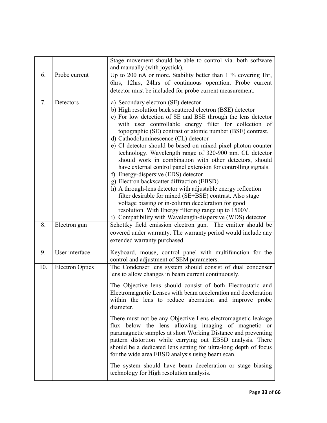|     |                        | Stage movement should be able to control via. both software<br>and manually (with joystick).                                                                                                                                                                                                                                                                                                                                                                                                                                                                                                                                                                                                                                                                                                                                                                                                                                                                                          |  |  |
|-----|------------------------|---------------------------------------------------------------------------------------------------------------------------------------------------------------------------------------------------------------------------------------------------------------------------------------------------------------------------------------------------------------------------------------------------------------------------------------------------------------------------------------------------------------------------------------------------------------------------------------------------------------------------------------------------------------------------------------------------------------------------------------------------------------------------------------------------------------------------------------------------------------------------------------------------------------------------------------------------------------------------------------|--|--|
| 6.  | Probe current          | Up to 200 nA or more. Stability better than 1 % covering 1hr,<br>6hrs, 12hrs, 24hrs of continuous operation. Probe current<br>detector must be included for probe current measurement.                                                                                                                                                                                                                                                                                                                                                                                                                                                                                                                                                                                                                                                                                                                                                                                                |  |  |
| 7.  | Detectors              | a) Secondary electron (SE) detector<br>b) High resolution back scattered electron (BSE) detector<br>c) For low detection of SE and BSE through the lens detector<br>with user controllable energy filter for collection of<br>topographic (SE) contrast or atomic number (BSE) contrast.<br>d) Cathodoluminescence (CL) detector<br>e) Cl detector should be based on mixed pixel photon counter<br>technology. Wavelength range of 320-900 nm. CL detector<br>should work in combination with other detectors, should<br>have external control panel extension for controlling signals.<br>f) Energy-dispersive (EDS) detector<br>g) Electron backscatter diffraction (EBSD)<br>h) A through-lens detector with adjustable energy reflection<br>filter desirable for mixed (SE+BSE) contrast. Also stage<br>voltage biasing or in-column deceleration for good<br>resolution. With Energy filtering range up to 1500V.<br>i) Compatibility with Wavelength-dispersive (WDS) detector |  |  |
| 8.  | Electron gun           | Schottky field emission electron gun. The emitter should be<br>covered under warranty. The warranty period would include any<br>extended warranty purchased.                                                                                                                                                                                                                                                                                                                                                                                                                                                                                                                                                                                                                                                                                                                                                                                                                          |  |  |
| 9.  | User interface         | Keyboard, mouse, control panel with multifunction for the<br>control and adjustment of SEM parameters.                                                                                                                                                                                                                                                                                                                                                                                                                                                                                                                                                                                                                                                                                                                                                                                                                                                                                |  |  |
| 10. | <b>Electron Optics</b> | The Condenser lens system should consist of dual condenser<br>lens to allow changes in beam current continuously.                                                                                                                                                                                                                                                                                                                                                                                                                                                                                                                                                                                                                                                                                                                                                                                                                                                                     |  |  |
|     |                        | The Objective lens should consist of both Electrostatic and<br>Electromagnetic Lenses with beam acceleration and deceleration<br>within the lens to reduce aberration and improve probe<br>diameter.                                                                                                                                                                                                                                                                                                                                                                                                                                                                                                                                                                                                                                                                                                                                                                                  |  |  |
|     |                        | There must not be any Objective Lens electromagnetic leakage<br>flux below the lens allowing imaging of magnetic or<br>paramagnetic samples at short Working Distance and preventing<br>pattern distortion while carrying out EBSD analysis. There<br>should be a dedicated lens setting for ultra-long depth of focus<br>for the wide area EBSD analysis using beam scan.                                                                                                                                                                                                                                                                                                                                                                                                                                                                                                                                                                                                            |  |  |
|     |                        | The system should have beam deceleration or stage biasing<br>technology for High resolution analysis.                                                                                                                                                                                                                                                                                                                                                                                                                                                                                                                                                                                                                                                                                                                                                                                                                                                                                 |  |  |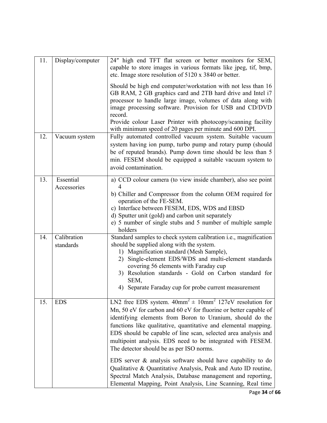| 11. | Display/computer         | 24" high end TFT flat screen or better monitors for SEM,<br>capable to store images in various formats like jpeg, tif, bmp,<br>etc. Image store resolution of 5120 x 3840 or better.<br>Should be high end computer/workstation with not less than 16<br>GB RAM, 2 GB graphics card and 2TB hard drive and Intel i7<br>processor to handle large image, volumes of data along with<br>image processing software. Provision for USB and CD/DVD<br>record.<br>Provide colour Laser Printer with photocopy/scanning facility<br>with minimum speed of 20 pages per minute and 600 DPI.                                                                                                                             |  |
|-----|--------------------------|-----------------------------------------------------------------------------------------------------------------------------------------------------------------------------------------------------------------------------------------------------------------------------------------------------------------------------------------------------------------------------------------------------------------------------------------------------------------------------------------------------------------------------------------------------------------------------------------------------------------------------------------------------------------------------------------------------------------|--|
| 12. | Vacuum system            | Fully automated controlled vacuum system. Suitable vacuum<br>system having ion pump, turbo pump and rotary pump (should<br>be of reputed brands). Pump down time should be less than 5<br>min. FESEM should be equipped a suitable vacuum system to<br>avoid contamination.                                                                                                                                                                                                                                                                                                                                                                                                                                     |  |
| 13. | Essential<br>Accessories | a) CCD colour camera (to view inside chamber), also see point<br>b) Chiller and Compressor from the column OEM required for<br>operation of the FE-SEM.<br>c) Interface between FESEM, EDS, WDS and EBSD<br>d) Sputter unit (gold) and carbon unit separately<br>e) 5 number of single stubs and 5 number of multiple sample<br>holders                                                                                                                                                                                                                                                                                                                                                                         |  |
| 14. | Calibration<br>standards | Standard samples to check system calibration <i>i.e.</i> , magnification<br>should be supplied along with the system.<br>1) Magnification standard (Mesh Sample),<br>Single-element EDS/WDS and multi-element standards<br>2)<br>covering 56 elements with Faraday cup<br>3) Resolution standards - Gold on Carbon standard for<br>SEM,<br>4) Separate Faraday cup for probe current measurement                                                                                                                                                                                                                                                                                                                |  |
| 15. | <b>EDS</b>               | LN2 free EDS system. $40mm^2 \pm 10mm^2$ 127eV resolution for<br>Mn, 50 eV for carbon and 60 eV for fluorine or better capable of<br>identifying elements from Boron to Uranium, should do the<br>functions like qualitative, quantitative and elemental mapping.<br>EDS should be capable of line scan, selected area analysis and<br>multipoint analysis. EDS need to be integrated with FESEM.<br>The detector should be as per ISO norms.<br>EDS server $\&$ analysis software should have capability to do<br>Qualitative & Quantitative Analysis, Peak and Auto ID routine,<br>Spectral Match Analysis, Database management and reporting,<br>Elemental Mapping, Point Analysis, Line Scanning, Real time |  |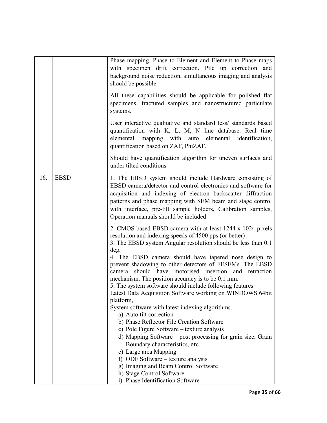|     |             | Phase mapping, Phase to Element and Element to Phase maps<br>with specimen drift correction. Pile up correction and<br>background noise reduction, simultaneous imaging and analysis<br>should be possible.                                                                                                                                                                                                                                                                                                                                                                                                                                                                                                                                                                                                                                                                                                                                                                                                                 |  |  |
|-----|-------------|-----------------------------------------------------------------------------------------------------------------------------------------------------------------------------------------------------------------------------------------------------------------------------------------------------------------------------------------------------------------------------------------------------------------------------------------------------------------------------------------------------------------------------------------------------------------------------------------------------------------------------------------------------------------------------------------------------------------------------------------------------------------------------------------------------------------------------------------------------------------------------------------------------------------------------------------------------------------------------------------------------------------------------|--|--|
|     |             | All these capabilities should be applicable for polished flat<br>specimens, fractured samples and nanostructured particulate<br>systems.                                                                                                                                                                                                                                                                                                                                                                                                                                                                                                                                                                                                                                                                                                                                                                                                                                                                                    |  |  |
|     |             | User interactive qualitative and standard less/ standards based<br>quantification with K, L, M, N line database. Real time<br>elemental mapping with auto elemental identification,<br>quantification based on ZAF, PhiZAF.                                                                                                                                                                                                                                                                                                                                                                                                                                                                                                                                                                                                                                                                                                                                                                                                 |  |  |
|     |             | Should have quantification algorithm for uneven surfaces and<br>under tilted conditions                                                                                                                                                                                                                                                                                                                                                                                                                                                                                                                                                                                                                                                                                                                                                                                                                                                                                                                                     |  |  |
| 16. | <b>EBSD</b> | 1. The EBSD system should include Hardware consisting of<br>EBSD camera/detector and control electronics and software for<br>acquisition and indexing of electron backscatter diffraction<br>patterns and phase mapping with SEM beam and stage control<br>with interface, pre-tilt sample holders, Calibration samples,<br>Operation manuals should be included                                                                                                                                                                                                                                                                                                                                                                                                                                                                                                                                                                                                                                                            |  |  |
|     |             | 2. CMOS based EBSD camera with at least 1244 x 1024 pixels<br>resolution and indexing speeds of 4500 pps (or better)<br>3. The EBSD system Angular resolution should be less than 0.1<br>deg.<br>4. The EBSD camera should have tapered nose design to<br>prevent shadowing to other detectors of FESEMs. The EBSD<br>should have motorised insertion and retraction<br>camera<br>mechanism. The position accuracy is to be 0.1 mm.<br>5. The system software should include following features<br>Latest Data Acquisition Software working on WINDOWS 64bit<br>platform,<br>System software with latest indexing algorithms.<br>a) Auto tilt correction<br>b) Phase Reflector File Creation Software<br>c) Pole Figure Software – texture analysis<br>d) Mapping Software – post processing for grain size, Grain<br>Boundary characteristics, etc<br>e) Large area Mapping<br>f) ODF Software – texture analysis<br>g) Imaging and Beam Control Software<br>h) Stage Control Software<br>i) Phase Identification Software |  |  |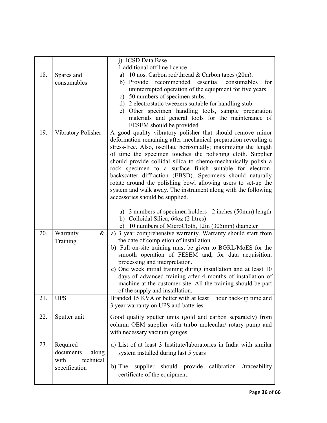|     | j) ICSD Data Base<br>1 additional off line licence                   |                                                                                                                                                                                                                                                                                                                                                                                                                                                                                                                                                                                                                                                                                                                                     |  |
|-----|----------------------------------------------------------------------|-------------------------------------------------------------------------------------------------------------------------------------------------------------------------------------------------------------------------------------------------------------------------------------------------------------------------------------------------------------------------------------------------------------------------------------------------------------------------------------------------------------------------------------------------------------------------------------------------------------------------------------------------------------------------------------------------------------------------------------|--|
| 18. | Spares and<br>consumables                                            | 10 nos. Carbon rod/thread & Carbon tapes (20m).<br>a)<br>essential<br>b) Provide<br>recommended<br>consumables<br>for<br>uninterrupted operation of the equipment for five years.<br>c) 50 numbers of specimen stubs.<br>d) 2 electrostatic tweezers suitable for handling stub.<br>e) Other specimen handling tools, sample preparation<br>materials and general tools for the maintenance of<br>FESEM should be provided.                                                                                                                                                                                                                                                                                                         |  |
| 19. | Vibratory Polisher                                                   | A good quality vibratory polisher that should remove minor<br>deformation remaining after mechanical preparation revealing a<br>stress-free. Also, oscillate horizontally; maximizing the length<br>of time the specimen touches the polishing cloth. Supplier<br>should provide collidal silica to chemo-mechanically polish a<br>rock specimen to a surface finish suitable for electron-<br>backscatter diffraction (EBSD). Specimens should naturally<br>rotate around the polishing bowl allowing users to set-up the<br>system and walk away. The instrument along with the following<br>accessories should be supplied.<br>a) 3 numbers of specimen holders - 2 inches (50mm) length<br>b) Colloidal Silica, 64oz (2 litres) |  |
| 20. | $\&$<br>Warranty<br>Training                                         | c) 10 numbers of MicroCloth, 12in (305mm) diameter<br>a) 3 year comprehensive warranty. Warranty should start from<br>the date of completion of installation.<br>b) Full on-site training must be given to BGRL/MoES for the<br>smooth operation of FESEM and, for data acquisition,<br>processing and interpretation.<br>c) One week initial training during installation and at least 10<br>days of advanced training after 4 months of installation of<br>machine at the customer site. All the training should be part<br>of the supply and installation.                                                                                                                                                                       |  |
| 21. | <b>UPS</b>                                                           | Branded 15 KVA or better with at least 1 hour back-up time and<br>3 year warranty on UPS and batteries.                                                                                                                                                                                                                                                                                                                                                                                                                                                                                                                                                                                                                             |  |
| 22. | Sputter unit                                                         | Good quality sputter units (gold and carbon separately) from<br>column OEM supplier with turbo molecular/ rotary pump and<br>with necessary vacuum gauges.                                                                                                                                                                                                                                                                                                                                                                                                                                                                                                                                                                          |  |
| 23. | Required<br>documents<br>along<br>technical<br>with<br>specification | a) List of at least 3 Institute/laboratories in India with similar<br>system installed during last 5 years<br>b) The<br>supplier should provide calibration /traceability<br>certificate of the equipment.                                                                                                                                                                                                                                                                                                                                                                                                                                                                                                                          |  |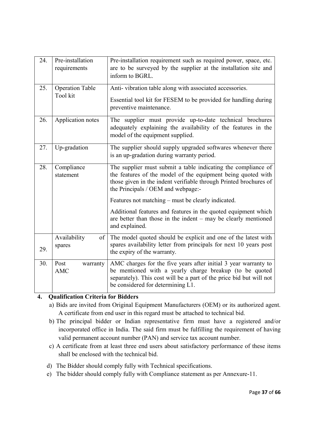| 24.                            | Pre-installation<br>requirements   | Pre-installation requirement such as required power, space, etc.<br>are to be surveyed by the supplier at the installation site and<br>inform to BGRL.                                                                                   |  |  |  |
|--------------------------------|------------------------------------|------------------------------------------------------------------------------------------------------------------------------------------------------------------------------------------------------------------------------------------|--|--|--|
| 25.                            | <b>Operation Table</b><br>Tool kit | Anti-vibration table along with associated accessories.<br>Essential tool kit for FESEM to be provided for handling during<br>preventive maintenance.                                                                                    |  |  |  |
| 26.                            | Application notes                  | The supplier must provide up-to-date technical brochures<br>adequately explaining the availability of the features in the<br>model of the equipment supplied.                                                                            |  |  |  |
| 27.                            | Up-gradation                       | The supplier should supply upgraded softwares whenever there<br>is an up-gradation during warranty period.                                                                                                                               |  |  |  |
| 28.<br>Compliance<br>statement |                                    | The supplier must submit a table indicating the compliance of<br>the features of the model of the equipment being quoted with<br>those given in the indent verifiable through Printed brochures of<br>the Principals / OEM and webpage:- |  |  |  |
|                                |                                    | Features not matching – must be clearly indicated.                                                                                                                                                                                       |  |  |  |
|                                |                                    | Additional features and features in the quoted equipment which<br>are better than those in the indent $-$ may be clearly mentioned<br>and explained.                                                                                     |  |  |  |
| 29.                            | Availability<br>spares             | of The model quoted should be explicit and one of the latest with<br>spares availability letter from principals for next 10 years post<br>the expiry of the warranty.                                                                    |  |  |  |
| 30.                            | Post<br>warranty<br><b>AMC</b>     | AMC charges for the five years after initial 3 year warranty to<br>be mentioned with a yearly charge breakup (to be quoted<br>separately). This cost will be a part of the price bid but will not<br>be considered for determining L1.   |  |  |  |

## 4. Qualification Criteria for Bidders

- a) Bids are invited from Original Equipment Manufacturers (OEM) or its authorized agent. A certificate from end user in this regard must be attached to technical bid.
- b) The principal bidder or Indian representative firm must have a registered and/or incorporated office in India. The said firm must be fulfilling the requirement of having valid permanent account number (PAN) and service tax account number.
- c) A certificate from at least three end users about satisfactory performance of these items shall be enclosed with the technical bid.
- d) The Bidder should comply fully with Technical specifications.
- e) The bidder should comply fully with Compliance statement as per Annexure-11.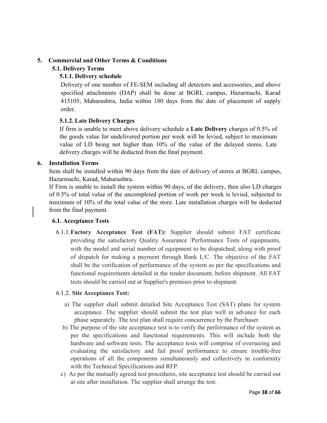## 5. Commercial and Other Terms & Conditions

## 5.1. Delivery Terms

## 5.1.1. Delivery schedule

Delivery of one number of FE-SEM including all detectors and accessories, and above specified attachments (DAP) shall be done at BGRL campus, Hazarmachi, Karad 415105, Maharashtra, India within 180 days from the date of placement of supply order.

## 5.1.2. Late Delivery Charges

If firm is unable to meet above delivery schedule a Late Delivery charges of 0.5% of the goods value for undelivered portion per week will be levied, subject to maximum value of LD being not higher than 10% of the value of the delayed stores. Late delivery charges will be deducted from the final payment.

## 6. Installation Terms

Item shall be installed within 90 days from the date of delivery of stores at BGRL campus, Hazarmachi, Karad, Maharashtra.

If Firm is unable to install the system within 90 days, of the delivery, then also LD charges of 0.5% of total value of the uncompleted portion of work per week is levied, subjected to maximum of 10% of the total value of the store. Late installation charges will be deducted from the final payment.

## 6.1. Acceptance Tests

6.1.1.Factory Acceptance Test (FAT): Supplier should submit FAT certificate providing the satisfactory Quality Assurance /Performance Tests of equipments, with the model and serial number of equipment to be dispatched, along with proof of dispatch for making a payment through Bank L/C. The objective of the FAT shall be the verification of performance of the system as per the specifications and functional requirements detailed in the tender document, before shipment. All FAT tests should be carried out at Supplier's premises prior to shipment.

## 6.1.2. Site Acceptance Test:

- a) The supplier shall submit detailed Site Acceptance Test (SAT) plans for system acceptance. The supplier should submit the test plan well in advance for each phase separately. The test plan shall require concurrence by the Purchaser.
- b) The purpose of the site acceptance test is to verify the performance of the system as per the specifications and functional requirements. This will include both the hardware and software tests. The acceptance tests will comprise of overseeing and evaluating the satisfactory and fail proof performance to ensure trouble-free operations of all the components simultaneously and collectively in conformity with the Technical Specifications and RFP.
- c) As per the mutually agreed test procedures, site acceptance test should be carried out at site after installation. The supplier shall arrange the test.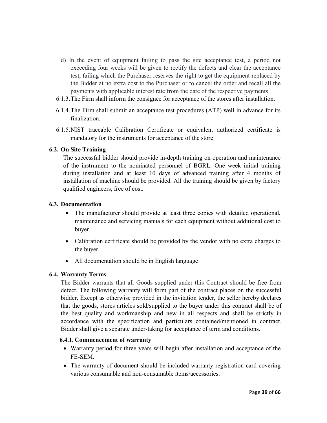- d) In the event of equipment failing to pass the site acceptance test, a period not exceeding four weeks will be given to rectify the defects and clear the acceptance test, failing which the Purchaser reserves the right to get the equipment replaced by the Bidder at no extra cost to the Purchaser or to cancel the order and recall all the payments with applicable interest rate from the date of the respective payments.
- 6.1.3.The Firm shall inform the consignee for acceptance of the stores after installation.
- 6.1.4.The Firm shall submit an acceptance test procedures (ATP) well in advance for its finalization.
- 6.1.5.NIST traceable Calibration Certificate or equivalent authorized certificate is mandatory for the instruments for acceptance of the store.

## 6.2. On Site Training

The successful bidder should provide in-depth training on operation and maintenance of the instrument to the nominated personnel of BGRL. One week initial training during installation and at least 10 days of advanced training after 4 months of installation of machine should be provided. All the training should be given by factory qualified engineers, free of cost.

## 6.3. Documentation

- The manufacturer should provide at least three copies with detailed operational, maintenance and servicing manuals for each equipment without additional cost to buyer.
- Calibration certificate should be provided by the vendor with no extra charges to the buyer.
- All documentation should be in English language

## 6.4. Warranty Terms

The Bidder warrants that all Goods supplied under this Contract should be free from defect. The following warranty will form part of the contract places on the successful bidder. Except as otherwise provided in the invitation tender, the seller hereby declares that the goods, stores articles sold/supplied to the buyer under this contract shall be of the best quality and workmanship and new in all respects and shall be strictly in accordance with the specification and particulars contained/mentioned in contract. Bidder shall give a separate under-taking for acceptance of term and conditions.

## 6.4.1. Commencement of warranty

- Warranty period for three years will begin after installation and acceptance of the FE-SEM.
- The warranty of document should be included warranty registration card covering various consumable and non-consumable items/accessories.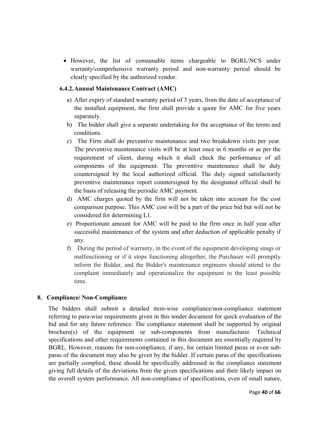• However, the list of consumable items chargeable to BGRL/NCS under warranty/comprehensive warranty period and non-warranty period should be clearly specified by the authorized vendor.

## 6.4.2.Annual Maintenance Contract (AMC)

- a) After expiry of standard warranty period of 3 years, from the date of acceptance of the installed equipment, the firm shall provide a quote for AMC for five years separately.
- b) The bidder shall give a separate undertaking for the acceptance of the terms and conditions.
- c) The Firm shall do preventive maintenance and two breakdown visits per year. The preventive maintenance visits will be at least once in 6 months or as per the requirement of client, during which it shall check the performance of all components of the equipment. The preventive maintenance shall be duly countersigned by the local authorized official. The duly signed satisfactorily preventive maintenance report countersigned by the designated official shall be the basis of releasing the periodic AMC payment.
- d) AMC charges quoted by the firm will not be taken into account for the cost comparison purpose. This AMC cost will be a part of the price bid but will not be considered for determining L1.
- e) Proportionate amount for AMC will be paid to the firm once in half year after successful maintenance of the system and after deduction of applicable penalty if any.
- f) During the period of warranty, in the event of the equipment developing snags or malfunctioning or if it stops functioning altogether, the Purchaser will promptly inform the Bidder, and the Bidder's maintenance engineers should attend to the complaint immediately and operationalize the equipment in the least possible time.

## 8. Compliance/ Non-Compliance

 The bidders shall submit a detailed item-wise compliance/non-compliance statement referring to para-wise requirements given in this tender document for quick evaluation of the bid and for any future reference. The compliance statement shall be supported by original brochure(s) of the equipment or sub-components from manufacturer. Technical specifications and other requirements contained in this document are essentially required by BGRL. However, reasons for non-compliance, if any, for certain limited paras or even subparas of the document may also be given by the bidder. If certain paras of the specifications are partially complied, these should be specifically addressed in the compliance statement giving full details of the deviations from the given specifications and their likely impact on the overall system performance. All non-compliance of specifications, even of small nature,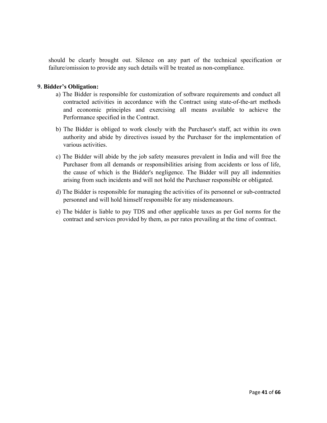should be clearly brought out. Silence on any part of the technical specification or failure/omission to provide any such details will be treated as non-compliance.

## 9. Bidder's Obligation:

- a) The Bidder is responsible for customization of software requirements and conduct all contracted activities in accordance with the Contract using state-of-the-art methods and economic principles and exercising all means available to achieve the Performance specified in the Contract.
- b) The Bidder is obliged to work closely with the Purchaser's staff, act within its own authority and abide by directives issued by the Purchaser for the implementation of various activities.
- c) The Bidder will abide by the job safety measures prevalent in India and will free the Purchaser from all demands or responsibilities arising from accidents or loss of life, the cause of which is the Bidder's negligence. The Bidder will pay all indemnities arising from such incidents and will not hold the Purchaser responsible or obligated.
- d) The Bidder is responsible for managing the activities of its personnel or sub-contracted personnel and will hold himself responsible for any misdemeanours.
- e) The bidder is liable to pay TDS and other applicable taxes as per GoI norms for the contract and services provided by them, as per rates prevailing at the time of contract.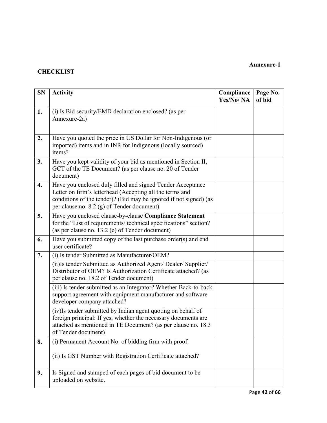## **CHECKLIST**

| <b>SN</b> | <b>Activity</b>                                                                                                                                                                                                                           | Compliance<br>Yes/No/NA | Page No.<br>of bid |
|-----------|-------------------------------------------------------------------------------------------------------------------------------------------------------------------------------------------------------------------------------------------|-------------------------|--------------------|
| 1.        | (i) Is Bid security/EMD declaration enclosed? (as per<br>Annexure-2a)                                                                                                                                                                     |                         |                    |
| 2.        | Have you quoted the price in US Dollar for Non-Indigenous (or<br>imported) items and in INR for Indigenous (locally sourced)<br>items?                                                                                                    |                         |                    |
| 3.        | Have you kept validity of your bid as mentioned in Section II,<br>GCT of the TE Document? (as per clause no. 20 of Tender<br>document)                                                                                                    |                         |                    |
| 4.        | Have you enclosed duly filled and signed Tender Acceptance<br>Letter on firm's letterhead (Accepting all the terms and<br>conditions of the tender)? (Bid may be ignored if not signed) (as<br>per clause no. 8.2 (g) of Tender document) |                         |                    |
| 5.        | Have you enclosed clause-by-clause Compliance Statement<br>for the "List of requirements/ technical specifications" section?<br>(as per clause no. 13.2 (e) of Tender document)                                                           |                         |                    |
| 6.        | Have you submitted copy of the last purchase order(s) and end<br>user certificate?                                                                                                                                                        |                         |                    |
| 7.        | (i) Is tender Submitted as Manufacturer/OEM?                                                                                                                                                                                              |                         |                    |
|           | (ii) Is tender Submitted as Authorized Agent/ Dealer/ Supplier/<br>Distributor of OEM? Is Authorization Certificate attached? (as<br>per clause no. 18.2 of Tender document)                                                              |                         |                    |
|           | (iii) Is tender submitted as an Integrator? Whether Back-to-back<br>support agreement with equipment manufacturer and software<br>developer company attached?                                                                             |                         |                    |
|           | (iv)Is tender submitted by Indian agent quoting on behalf of<br>foreign principal: If yes, whether the necessary documents are<br>attached as mentioned in TE Document? (as per clause no. 18.3<br>of Tender document)                    |                         |                    |
| 8.        | (i) Permanent Account No. of bidding firm with proof.                                                                                                                                                                                     |                         |                    |
|           | (ii) Is GST Number with Registration Certificate attached?                                                                                                                                                                                |                         |                    |
| 9.        | Is Signed and stamped of each pages of bid document to be<br>uploaded on website.                                                                                                                                                         |                         |                    |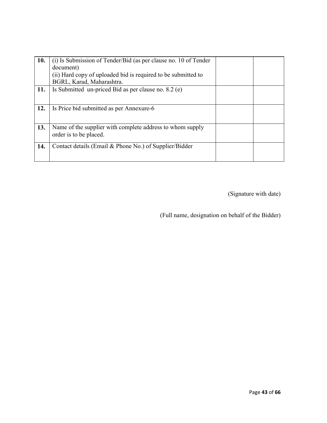| (i) Is Submission of Tender/Bid (as per clause no. 10 of Tender |                                                        |  |
|-----------------------------------------------------------------|--------------------------------------------------------|--|
| document)                                                       |                                                        |  |
| (ii) Hard copy of uploaded bid is required to be submitted to   |                                                        |  |
| BGRL, Karad, Maharashtra.                                       |                                                        |  |
| Is Submitted un-priced Bid as per clause no. 8.2 (e)            |                                                        |  |
|                                                                 |                                                        |  |
| Is Price bid submitted as per Annexure-6                        |                                                        |  |
|                                                                 |                                                        |  |
| Name of the supplier with complete address to whom supply       |                                                        |  |
| order is to be placed.                                          |                                                        |  |
|                                                                 |                                                        |  |
|                                                                 |                                                        |  |
|                                                                 |                                                        |  |
|                                                                 | Contact details (Email & Phone No.) of Supplier/Bidder |  |

(Signature with date)

(Full name, designation on behalf of the Bidder)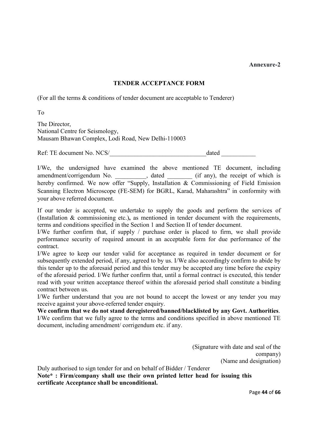## TENDER ACCEPTANCE FORM

(For all the terms & conditions of tender document are acceptable to Tenderer)

To

The Director, National Centre for Seismology, Mausam Bhawan Complex, Lodi Road, New Delhi-110003

Ref: TE document No. NCS/\_\_\_\_\_\_\_\_\_\_\_\_\_\_\_\_\_\_\_\_\_\_\_\_\_\_\_\_\_\_\_dated \_\_\_\_\_\_\_\_\_\_\_

I/We, the undersigned have examined the above mentioned TE document, including amendment/corrigendum No. \_\_\_\_\_\_\_\_\_, dated \_\_\_\_\_\_\_\_ (if any), the receipt of which is hereby confirmed. We now offer "Supply, Installation & Commissioning of Field Emission Scanning Electron Microscope (FE-SEM) for BGRL, Karad, Maharashtra" in conformity with your above referred document.

If our tender is accepted, we undertake to supply the goods and perform the services of (Installation & commissioning etc.), as mentioned in tender document with the requirements, terms and conditions specified in the Section 1 and Section II of tender document.

I/We further confirm that, if supply / purchase order is placed to firm, we shall provide performance security of required amount in an acceptable form for due performance of the contract.

I/We agree to keep our tender valid for acceptance as required in tender document or for subsequently extended period, if any, agreed to by us. I/We also accordingly confirm to abide by this tender up to the aforesaid period and this tender may be accepted any time before the expiry of the aforesaid period. I/We further confirm that, until a formal contract is executed, this tender read with your written acceptance thereof within the aforesaid period shall constitute a binding contract between us.

I/We further understand that you are not bound to accept the lowest or any tender you may receive against your above-referred tender enquiry.

We confirm that we do not stand deregistered/banned/blacklisted by any Govt. Authorities. I/We confirm that we fully agree to the terms and conditions specified in above mentioned TE document, including amendment/ corrigendum etc. if any.

> (Signature with date and seal of the company) (Name and designation)

Duly authorised to sign tender for and on behalf of Bidder / Tenderer Note\* : Firm/company shall use their own printed letter head for issuing this certificate Acceptance shall be unconditional.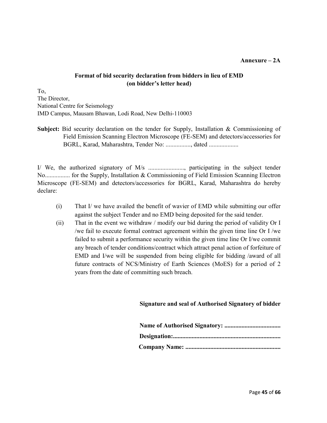### Annexure – 2A

## Format of bid security declaration from bidders in lieu of EMD (on bidder's letter head)

To, The Director, National Centre for Seismology IMD Campus, Mausam Bhawan, Lodi Road, New Delhi-110003

Subject: Bid security declaration on the tender for Supply, Installation & Commissioning of Field Emission Scanning Electron Microscope (FE-SEM) and detectors/accessories for BGRL, Karad, Maharashtra, Tender No: ................, dated ...................

I/ We, the authorized signatory of M/s ......................., participating in the subject tender No................ for the Supply, Installation & Commissioning of Field Emission Scanning Electron Microscope (FE-SEM) and detectors/accessories for BGRL, Karad, Maharashtra do hereby declare:

- (i) That I/ we have availed the benefit of wavier of EMD while submitting our offer against the subject Tender and no EMD being deposited for the said tender.
- (ii) That in the event we withdraw / modify our bid during the period of validity Or I /we fail to execute formal contract agreement within the given time line Or I /we failed to submit a performance security within the given time line Or I/we commit any breach of tender conditions/contract which attract penal action of forfeiture of EMD and I/we will be suspended from being eligible for bidding /award of all future contracts of NCS/Ministry of Earth Sciences (MoES) for a period of 2 years from the date of committing such breach.

## Signature and seal of Authorised Signatory of bidder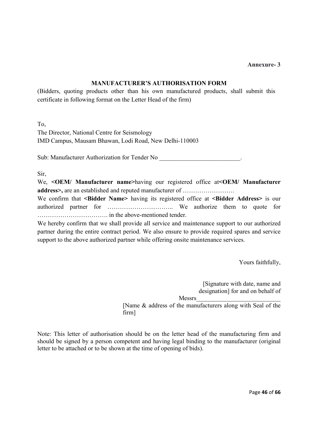## MANUFACTURER'S AUTHORISATION FORM

(Bidders, quoting products other than his own manufactured products, shall submit this certificate in following format on the Letter Head of the firm)

To,

The Director, National Centre for Seismology IMD Campus, Mausam Bhawan, Lodi Road, New Delhi-110003

Sub: Manufacturer Authorization for Tender No

Sir,

We, <**OEM/** Manufacturer name>having our registered office at<**OEM/** Manufacturer address>, are an established and reputed manufacturer of …………………….

We confirm that <**Bidder Name>** having its registered office at <**Bidder Address>** is our authorized partner for ………………………….. We authorize them to quote for ……………………………. in the above-mentioned tender.

We hereby confirm that we shall provide all service and maintenance support to our authorized partner during the entire contract period. We also ensure to provide required spares and service support to the above authorized partner while offering onsite maintenance services.

Yours faithfully,

[Signature with date, name and designation] for and on behalf of Messrs\_\_\_\_\_\_\_\_\_\_\_\_\_\_\_\_\_\_\_\_\_\_\_\_\_\_\_

[Name & address of the manufacturers along with Seal of the firm]

Note: This letter of authorisation should be on the letter head of the manufacturing firm and should be signed by a person competent and having legal binding to the manufacturer (original letter to be attached or to be shown at the time of opening of bids).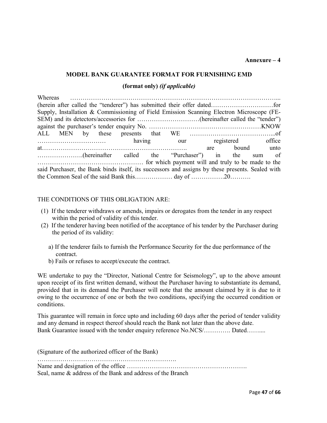## MODEL BANK GUARANTEE FORMAT FOR FURNISHING EMD

## (format only) *(if applicable)*

| Whereas                                                                                          |  |  |  |  |  |  |                |        |  |
|--------------------------------------------------------------------------------------------------|--|--|--|--|--|--|----------------|--------|--|
|                                                                                                  |  |  |  |  |  |  |                |        |  |
| Supply, Installation & Commissioning of Field Emission Scanning Electron Microscope (FE-         |  |  |  |  |  |  |                |        |  |
|                                                                                                  |  |  |  |  |  |  |                |        |  |
|                                                                                                  |  |  |  |  |  |  |                |        |  |
|                                                                                                  |  |  |  |  |  |  |                |        |  |
| a having our registered office                                                                   |  |  |  |  |  |  |                |        |  |
|                                                                                                  |  |  |  |  |  |  | are bound unto |        |  |
| (hereinafter called the "Purchaser") in the                                                      |  |  |  |  |  |  |                | sum of |  |
|                                                                                                  |  |  |  |  |  |  |                |        |  |
| said Purchaser, the Bank binds itself, its successors and assigns by these presents. Sealed with |  |  |  |  |  |  |                |        |  |
|                                                                                                  |  |  |  |  |  |  |                |        |  |

## THE CONDITIONS OF THIS OBLIGATION ARE:

- (1) If the tenderer withdraws or amends, impairs or derogates from the tender in any respect within the period of validity of this tender.
- (2) If the tenderer having been notified of the acceptance of his tender by the Purchaser during the period of its validity:
	- a) If the tenderer fails to furnish the Performance Security for the due performance of the contract.
	- b) Fails or refuses to accept/execute the contract.

WE undertake to pay the "Director, National Centre for Seismology", up to the above amount upon receipt of its first written demand, without the Purchaser having to substantiate its demand, provided that in its demand the Purchaser will note that the amount claimed by it is due to it owing to the occurrence of one or both the two conditions, specifying the occurred condition or conditions.

This guarantee will remain in force upto and including 60 days after the period of tender validity and any demand in respect thereof should reach the Bank not later than the above date. Bank Guarantee issued with the tender enquiry reference No.NCS/…………. Dated……….

(Signature of the authorized officer of the Bank) …………………………………………………………. Name and designation of the office …………………………………………………. Seal, name & address of the Bank and address of the Branch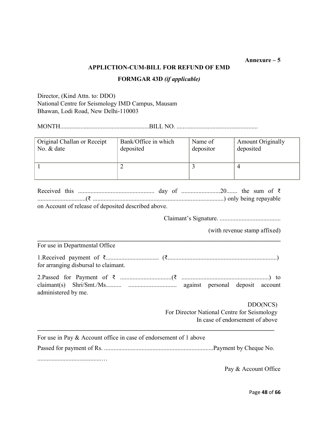## APPLICTION-CUM-BILL FOR REFUND OF EMD

## FORMGAR 43D *(if applicable)*

Director, (Kind Attn. to: DDO) National Centre for Seismology IMD Campus, Mausam Bhawan, Lodi Road, New Delhi-110003

administered by me.

MONTH.........................................................BILL NO. ....................................................

| Original Challan or Receipt                         | Bank/Office in which | Name of   | <b>Amount Originally</b> |  |  |  |
|-----------------------------------------------------|----------------------|-----------|--------------------------|--|--|--|
| No. & date                                          | deposited            | depositor | deposited                |  |  |  |
|                                                     |                      |           |                          |  |  |  |
|                                                     |                      |           |                          |  |  |  |
|                                                     |                      |           |                          |  |  |  |
|                                                     |                      |           | $\overline{4}$           |  |  |  |
|                                                     |                      |           |                          |  |  |  |
|                                                     |                      |           |                          |  |  |  |
|                                                     |                      |           |                          |  |  |  |
|                                                     |                      |           |                          |  |  |  |
|                                                     |                      |           |                          |  |  |  |
| on Account of release of deposited described above. |                      |           |                          |  |  |  |
|                                                     |                      |           |                          |  |  |  |

Claimant's Signature. .......................................

(with revenue stamp affixed)

\_\_\_\_\_\_\_\_\_\_\_\_\_\_\_\_\_\_\_\_\_\_\_\_\_\_\_\_\_\_\_\_\_\_\_\_\_\_\_\_\_\_\_\_\_\_\_\_\_\_\_\_\_\_\_\_\_\_\_\_\_\_\_\_\_\_\_\_\_\_\_\_\_\_\_\_\_\_ For use in Departmental Office 1.Received payment of ₹.................................. (₹......................................................................) for arranging disbursal to claimant. 2.Passed for Payment of ₹ .................................(₹ ........................................................) to claimant(s) Shri/Smt./Ms.......... ............................... against personal deposit account

> DDO(NCS) For Director National Centre for Seismology In case of endorsement of above

| For use in Pay $\&$ Account office in case of endorsement of 1 above |                      |
|----------------------------------------------------------------------|----------------------|
|                                                                      |                      |
|                                                                      | Pay & Account Office |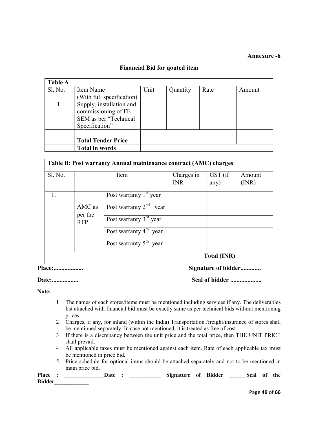## Financial Bid for qouted item

| <b>Table A</b> |                           |      |          |      |        |
|----------------|---------------------------|------|----------|------|--------|
| Sl. No.        | Item Name                 | Unit | Quantity | Rate | Amount |
|                | (With full specification) |      |          |      |        |
|                | Supply, installation and  |      |          |      |        |
|                | commissioning of FE-      |      |          |      |        |
|                | SEM as per "Technical     |      |          |      |        |
|                | Specification"            |      |          |      |        |
|                |                           |      |          |      |        |
|                | <b>Total Tender Price</b> |      |          |      |        |
|                | <b>Total in words</b>     |      |          |      |        |

| Table B: Post warranty Annual maintenance contract (AMC) charges |                       |                                |                          |                    |                |  |  |
|------------------------------------------------------------------|-----------------------|--------------------------------|--------------------------|--------------------|----------------|--|--|
| Sl. No.                                                          |                       | Item                           | Charges in<br><b>INR</b> | GST (if<br>any)    | Amount<br>(MR) |  |  |
|                                                                  |                       | Post warranty $1st$ year       |                          |                    |                |  |  |
|                                                                  | AMC as                | Post warranty $2^{nd}$<br>year |                          |                    |                |  |  |
|                                                                  | per the<br><b>RFP</b> | Post warranty $3rd$ year       |                          |                    |                |  |  |
|                                                                  |                       | Post warranty $4th$ year       |                          |                    |                |  |  |
|                                                                  |                       | Post warranty $5^{th}$ year    |                          |                    |                |  |  |
|                                                                  |                       |                                |                          | <b>Total (INR)</b> |                |  |  |

Place:................... Signature of bidder.............

Date:................. Seal of bidder ....................

Note:

- 1 The names of each stores/items must be mentioned including services if any. The deliverables list attached with financial bid must be exactly same as per technical bids without mentioning prices.
- 2 Charges, if any, for inland (within the India) Transportation /freight/insurance of stores shall be mentioned separately. In case not mentioned, it is treated as free of cost.
- 3 If there is a discrepancy between the unit price and the total price, then THE UNIT PRICE shall prevail.
- 4 All applicable taxes must be mentioned against each item. Rate of each applicable tax must be mentioned in price bid.
- 5 Price schedule for optional items should be attached separately and not to be mentioned in main price bid.

Place : \_\_\_\_\_\_\_\_\_\_\_\_\_\_\_\_\_Date : \_\_\_\_\_\_\_\_\_\_\_\_\_ Signature of Bidder \_\_\_\_\_\_Seal of the Bidder\_\_\_\_\_\_\_\_\_\_\_\_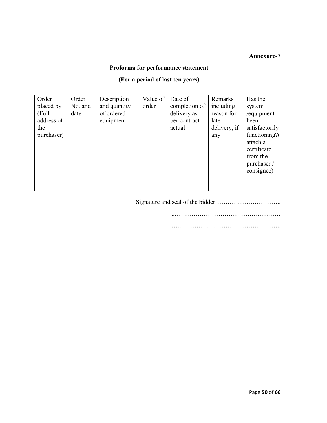## Proforma for performance statement

## (For a period of last ten years)

| Order<br>placed by<br>(Full)<br>address of<br>the<br>purchaser) | Order<br>No. and<br>date | Description<br>and quantity<br>of ordered<br>equipment | Value of  <br>order | Date of<br>completion of<br>delivery as<br>per contract<br>actual | Remarks<br>including<br>reason for<br>late<br>delivery, if<br>any | Has the<br>system<br>/equipment<br>been<br>satisfactorily<br>functioning?( |
|-----------------------------------------------------------------|--------------------------|--------------------------------------------------------|---------------------|-------------------------------------------------------------------|-------------------------------------------------------------------|----------------------------------------------------------------------------|
|                                                                 |                          |                                                        |                     |                                                                   |                                                                   | attach a                                                                   |
|                                                                 |                          |                                                        |                     |                                                                   |                                                                   | certificate                                                                |
|                                                                 |                          |                                                        |                     |                                                                   |                                                                   | from the<br>purchaser/                                                     |
|                                                                 |                          |                                                        |                     |                                                                   |                                                                   | consignee)                                                                 |
|                                                                 |                          |                                                        |                     |                                                                   |                                                                   |                                                                            |

Signature and seal of the bidder…………………………..

..……………………………………………

……………………………………………..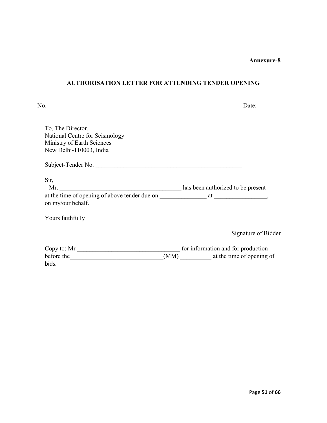## AUTHORISATION LETTER FOR ATTENDING TENDER OPENING

| No.                                                                                                                 | Date:                              |
|---------------------------------------------------------------------------------------------------------------------|------------------------------------|
| To, The Director,<br>National Centre for Seismology<br>Ministry of Earth Sciences<br>New Delhi-110003, India        |                                    |
| Subject-Tender No.                                                                                                  |                                    |
| Sir,                                                                                                                |                                    |
| at the time of opening of above tender due on at at the time of opening of above tender due on<br>on my/our behalf. | has been authorized to be present  |
| Yours faithfully                                                                                                    |                                    |
|                                                                                                                     | Signature of Bidder                |
| Copy to: Mr $\_\_$                                                                                                  | for information and for production |
| before the                                                                                                          | (MM) at the time of opening of     |
| bids.                                                                                                               |                                    |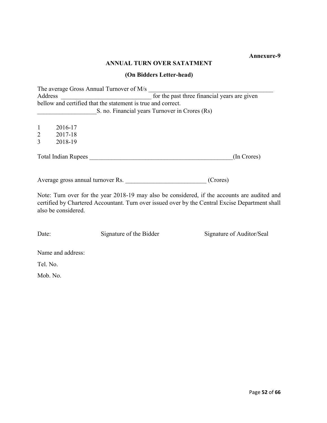## ANNUAL TURN OVER SATATMENT

## (On Bidders Letter-head)

The average Gross Annual Turnover of M/s Address  $\overline{\phantom{a}}$  for the past three financial years are given bellow and certified that the statement is true and correct. S. no. Financial years Turnover in Crores (Rs)

1 2016-17

2 2017-18

3 2018-19

Total Indian Rupees \_\_\_\_\_\_\_\_\_\_\_\_\_\_\_\_\_\_\_\_\_\_\_\_\_\_\_\_\_\_\_\_\_\_\_\_\_\_\_\_\_\_\_\_\_\_(In Crores)

Average gross annual turnover Rs. \_\_\_\_\_\_\_\_\_\_\_\_\_\_\_\_\_\_\_\_\_\_\_\_\_\_\_\_\_\_\_\_\_(Crores)

Note: Turn over for the year 2018-19 may also be considered, if the accounts are audited and certified by Chartered Accountant. Turn over issued over by the Central Excise Department shall also be considered.

Date: Signature of the Bidder Signature of Auditor/Seal

Name and address:

Tel. No.

Mob. No.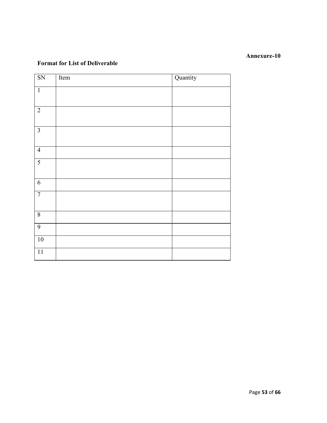## Format for List of Deliverable

| SN              | Item | Quantity |
|-----------------|------|----------|
| $\mathbf{1}$    |      |          |
| $\overline{2}$  |      |          |
| $\overline{3}$  |      |          |
| $\overline{4}$  |      |          |
| $\overline{5}$  |      |          |
| $\sqrt{6}$      |      |          |
| $\overline{7}$  |      |          |
| $\sqrt{8}$      |      |          |
| $\overline{9}$  |      |          |
| $\overline{10}$ |      |          |
| $\overline{11}$ |      |          |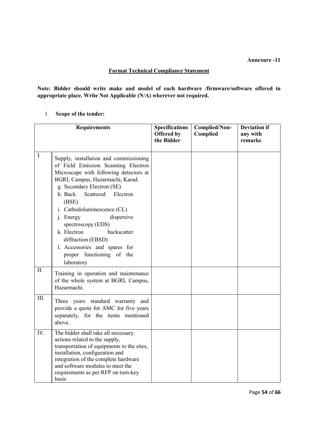## Format Technical Compliance Statement

Note: Bidder should write make and model of each hardware /firmware/software offered in appropriate place. Write Not Applicable (N/A) wherever not required.

## 1 Scope of the tender:

|                    | <b>Requirements</b>                                                                                                                                                                                                                                                                                                                                                                                                                                   | <b>Specifications</b><br><b>Offered by</b><br>the Bidder | Complied/Non-<br>Complied | <b>Deviation if</b><br>any with<br>remarks |
|--------------------|-------------------------------------------------------------------------------------------------------------------------------------------------------------------------------------------------------------------------------------------------------------------------------------------------------------------------------------------------------------------------------------------------------------------------------------------------------|----------------------------------------------------------|---------------------------|--------------------------------------------|
| $I_{\cdot}$<br>II. | Supply, installation and commissioning<br>of Field Emission Scanning Electron<br>Microscope with following detectors at<br>BGRL Campus, Hazarmachi, Karad.<br>g. Secondary Electron (SE)<br>h. Back<br>Scattered<br>Electron<br>(BSE)<br>i. Cathodoluminescence (CL)<br>dispersive<br>j. Energy<br>spectroscopy (EDS)<br>backscatter<br>k. Electron<br>diffraction (EBSD)<br>1. Accessories and spares for<br>proper functioning of the<br>laboratory |                                                          |                           |                                            |
|                    | Training in operation and maintenance<br>of the whole system at BGRL Campus,<br>Hazarmachi.                                                                                                                                                                                                                                                                                                                                                           |                                                          |                           |                                            |
| III.               | Three years standard warranty and<br>provide a quote for AMC for five years<br>separately, for the items mentioned<br>above.                                                                                                                                                                                                                                                                                                                          |                                                          |                           |                                            |
| IV.                | The bidder shall take all necessary<br>actions related to the supply,<br>transportation of equipments to the sites,<br>installation, configuration and<br>integration of the complete hardware<br>and software modules to meet the<br>requirements as per RFP on turn-key<br>basis                                                                                                                                                                    |                                                          |                           |                                            |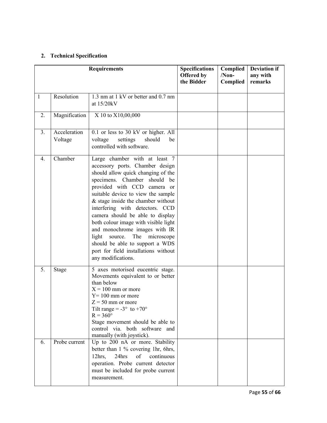## 2. Technical Specification

|    |                         | <b>Requirements</b>                                                                                                                                                                                                                                                                                                                                                                                                                                                                                                                           | <b>Specifications</b><br>Offered by<br>the Bidder | Complied<br>$/Non-$<br>Complied | <b>Deviation if</b><br>any with<br>remarks |
|----|-------------------------|-----------------------------------------------------------------------------------------------------------------------------------------------------------------------------------------------------------------------------------------------------------------------------------------------------------------------------------------------------------------------------------------------------------------------------------------------------------------------------------------------------------------------------------------------|---------------------------------------------------|---------------------------------|--------------------------------------------|
| 1  | Resolution              | 1.3 nm at 1 kV or better and $0.7$ nm<br>at 15/20kV                                                                                                                                                                                                                                                                                                                                                                                                                                                                                           |                                                   |                                 |                                            |
| 2. | Magnification           | X 10 to X10,00,000                                                                                                                                                                                                                                                                                                                                                                                                                                                                                                                            |                                                   |                                 |                                            |
| 3. | Acceleration<br>Voltage | 0.1 or less to 30 kV or higher. All<br>settings<br>voltage<br>should<br>be<br>controlled with software.                                                                                                                                                                                                                                                                                                                                                                                                                                       |                                                   |                                 |                                            |
| 4. | Chamber                 | Large chamber with at least 7<br>accessory ports. Chamber design<br>should allow quick changing of the<br>specimens. Chamber should be<br>provided with CCD camera or<br>suitable device to view the sample<br>$&$ stage inside the chamber without<br>interfering with detectors. CCD<br>camera should be able to display<br>both colour image with visible light<br>and monochrome images with IR<br>The<br>source.<br>microscope<br>light<br>should be able to support a WDS<br>port for field installations without<br>any modifications. |                                                   |                                 |                                            |
| 5. | <b>Stage</b>            | 5 axes motorised eucentric stage.<br>Movements equivalent to or better<br>than below<br>$X = 100$ mm or more<br>$Y = 100$ mm or more<br>$Z = 50$ mm or more<br>Tilt range = $-3^{\circ}$ to $+70^{\circ}$<br>$R = 360^\circ$<br>Stage movement should be able to<br>control via. both software and<br>manually (with joystick).                                                                                                                                                                                                               |                                                   |                                 |                                            |
| 6. | Probe current           | Up to 200 nA or more. Stability<br>better than 1 % covering 1hr, 6hrs,<br>$12$ hrs,<br>24hrs<br>continuous<br>of<br>operation. Probe current detector<br>must be included for probe current<br>measurement.                                                                                                                                                                                                                                                                                                                                   |                                                   |                                 |                                            |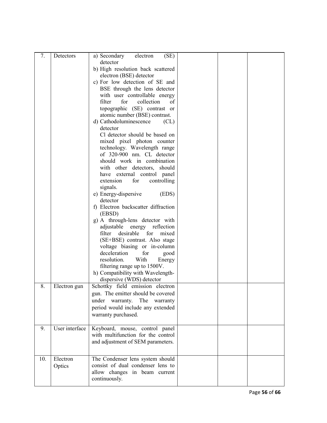| detector<br>b) High resolution back scattered<br>electron (BSE) detector<br>c) For low detection of SE and<br>BSE through the lens detector<br>with user controllable energy<br>collection<br>filter<br>for<br>of<br>topographic (SE) contrast or<br>atomic number (BSE) contrast.<br>d) Cathodoluminescence<br>CL)<br>detector<br>Cl detector should be based on<br>mixed pixel photon counter<br>technology. Wavelength range<br>of 320-900 nm. CL detector<br>should work in combination<br>with other detectors, should<br>have external control panel<br>extension<br>for<br>controlling<br>signals.<br>e) Energy-dispersive<br>(EDS)<br>detector<br>f) Electron backscatter diffraction<br>(EBSD)<br>g) A through-lens detector with<br>adjustable<br>energy reflection<br>desirable<br>filter<br>for<br>mixed<br>(SE+BSE) contrast. Also stage<br>voltage biasing or in-column<br>deceleration<br>for<br>good<br>resolution.<br>With<br>Energy<br>filtering range up to 1500V.<br>h) Compatibility with Wavelength-<br>dispersive (WDS) detector<br>8.<br>Schottky field emission electron<br>Electron gun<br>gun. The emitter should be covered<br>under<br>warranty.<br>The<br>warranty<br>period would include any extended<br>warranty purchased.<br>User interface<br>Keyboard, mouse, control panel<br>9.<br>with multifunction for the control<br>and adjustment of SEM parameters.<br>10.<br>Electron<br>The Condenser lens system should<br>consist of dual condenser lens to<br>Optics |    |           |                                  |  |  |
|---------------------------------------------------------------------------------------------------------------------------------------------------------------------------------------------------------------------------------------------------------------------------------------------------------------------------------------------------------------------------------------------------------------------------------------------------------------------------------------------------------------------------------------------------------------------------------------------------------------------------------------------------------------------------------------------------------------------------------------------------------------------------------------------------------------------------------------------------------------------------------------------------------------------------------------------------------------------------------------------------------------------------------------------------------------------------------------------------------------------------------------------------------------------------------------------------------------------------------------------------------------------------------------------------------------------------------------------------------------------------------------------------------------------------------------------------------------------------------------------------------|----|-----------|----------------------------------|--|--|
|                                                                                                                                                                                                                                                                                                                                                                                                                                                                                                                                                                                                                                                                                                                                                                                                                                                                                                                                                                                                                                                                                                                                                                                                                                                                                                                                                                                                                                                                                                         | 7. | Detectors | (SE)<br>a) Secondary<br>electron |  |  |
|                                                                                                                                                                                                                                                                                                                                                                                                                                                                                                                                                                                                                                                                                                                                                                                                                                                                                                                                                                                                                                                                                                                                                                                                                                                                                                                                                                                                                                                                                                         |    |           |                                  |  |  |
|                                                                                                                                                                                                                                                                                                                                                                                                                                                                                                                                                                                                                                                                                                                                                                                                                                                                                                                                                                                                                                                                                                                                                                                                                                                                                                                                                                                                                                                                                                         |    |           |                                  |  |  |
|                                                                                                                                                                                                                                                                                                                                                                                                                                                                                                                                                                                                                                                                                                                                                                                                                                                                                                                                                                                                                                                                                                                                                                                                                                                                                                                                                                                                                                                                                                         |    |           |                                  |  |  |
|                                                                                                                                                                                                                                                                                                                                                                                                                                                                                                                                                                                                                                                                                                                                                                                                                                                                                                                                                                                                                                                                                                                                                                                                                                                                                                                                                                                                                                                                                                         |    |           |                                  |  |  |
|                                                                                                                                                                                                                                                                                                                                                                                                                                                                                                                                                                                                                                                                                                                                                                                                                                                                                                                                                                                                                                                                                                                                                                                                                                                                                                                                                                                                                                                                                                         |    |           |                                  |  |  |
|                                                                                                                                                                                                                                                                                                                                                                                                                                                                                                                                                                                                                                                                                                                                                                                                                                                                                                                                                                                                                                                                                                                                                                                                                                                                                                                                                                                                                                                                                                         |    |           |                                  |  |  |
|                                                                                                                                                                                                                                                                                                                                                                                                                                                                                                                                                                                                                                                                                                                                                                                                                                                                                                                                                                                                                                                                                                                                                                                                                                                                                                                                                                                                                                                                                                         |    |           |                                  |  |  |
|                                                                                                                                                                                                                                                                                                                                                                                                                                                                                                                                                                                                                                                                                                                                                                                                                                                                                                                                                                                                                                                                                                                                                                                                                                                                                                                                                                                                                                                                                                         |    |           |                                  |  |  |
|                                                                                                                                                                                                                                                                                                                                                                                                                                                                                                                                                                                                                                                                                                                                                                                                                                                                                                                                                                                                                                                                                                                                                                                                                                                                                                                                                                                                                                                                                                         |    |           |                                  |  |  |
|                                                                                                                                                                                                                                                                                                                                                                                                                                                                                                                                                                                                                                                                                                                                                                                                                                                                                                                                                                                                                                                                                                                                                                                                                                                                                                                                                                                                                                                                                                         |    |           |                                  |  |  |
|                                                                                                                                                                                                                                                                                                                                                                                                                                                                                                                                                                                                                                                                                                                                                                                                                                                                                                                                                                                                                                                                                                                                                                                                                                                                                                                                                                                                                                                                                                         |    |           |                                  |  |  |
|                                                                                                                                                                                                                                                                                                                                                                                                                                                                                                                                                                                                                                                                                                                                                                                                                                                                                                                                                                                                                                                                                                                                                                                                                                                                                                                                                                                                                                                                                                         |    |           |                                  |  |  |
|                                                                                                                                                                                                                                                                                                                                                                                                                                                                                                                                                                                                                                                                                                                                                                                                                                                                                                                                                                                                                                                                                                                                                                                                                                                                                                                                                                                                                                                                                                         |    |           |                                  |  |  |
|                                                                                                                                                                                                                                                                                                                                                                                                                                                                                                                                                                                                                                                                                                                                                                                                                                                                                                                                                                                                                                                                                                                                                                                                                                                                                                                                                                                                                                                                                                         |    |           |                                  |  |  |
|                                                                                                                                                                                                                                                                                                                                                                                                                                                                                                                                                                                                                                                                                                                                                                                                                                                                                                                                                                                                                                                                                                                                                                                                                                                                                                                                                                                                                                                                                                         |    |           |                                  |  |  |
|                                                                                                                                                                                                                                                                                                                                                                                                                                                                                                                                                                                                                                                                                                                                                                                                                                                                                                                                                                                                                                                                                                                                                                                                                                                                                                                                                                                                                                                                                                         |    |           |                                  |  |  |
|                                                                                                                                                                                                                                                                                                                                                                                                                                                                                                                                                                                                                                                                                                                                                                                                                                                                                                                                                                                                                                                                                                                                                                                                                                                                                                                                                                                                                                                                                                         |    |           |                                  |  |  |
|                                                                                                                                                                                                                                                                                                                                                                                                                                                                                                                                                                                                                                                                                                                                                                                                                                                                                                                                                                                                                                                                                                                                                                                                                                                                                                                                                                                                                                                                                                         |    |           |                                  |  |  |
|                                                                                                                                                                                                                                                                                                                                                                                                                                                                                                                                                                                                                                                                                                                                                                                                                                                                                                                                                                                                                                                                                                                                                                                                                                                                                                                                                                                                                                                                                                         |    |           |                                  |  |  |
|                                                                                                                                                                                                                                                                                                                                                                                                                                                                                                                                                                                                                                                                                                                                                                                                                                                                                                                                                                                                                                                                                                                                                                                                                                                                                                                                                                                                                                                                                                         |    |           |                                  |  |  |
|                                                                                                                                                                                                                                                                                                                                                                                                                                                                                                                                                                                                                                                                                                                                                                                                                                                                                                                                                                                                                                                                                                                                                                                                                                                                                                                                                                                                                                                                                                         |    |           |                                  |  |  |
|                                                                                                                                                                                                                                                                                                                                                                                                                                                                                                                                                                                                                                                                                                                                                                                                                                                                                                                                                                                                                                                                                                                                                                                                                                                                                                                                                                                                                                                                                                         |    |           |                                  |  |  |
|                                                                                                                                                                                                                                                                                                                                                                                                                                                                                                                                                                                                                                                                                                                                                                                                                                                                                                                                                                                                                                                                                                                                                                                                                                                                                                                                                                                                                                                                                                         |    |           |                                  |  |  |
|                                                                                                                                                                                                                                                                                                                                                                                                                                                                                                                                                                                                                                                                                                                                                                                                                                                                                                                                                                                                                                                                                                                                                                                                                                                                                                                                                                                                                                                                                                         |    |           |                                  |  |  |
|                                                                                                                                                                                                                                                                                                                                                                                                                                                                                                                                                                                                                                                                                                                                                                                                                                                                                                                                                                                                                                                                                                                                                                                                                                                                                                                                                                                                                                                                                                         |    |           |                                  |  |  |
|                                                                                                                                                                                                                                                                                                                                                                                                                                                                                                                                                                                                                                                                                                                                                                                                                                                                                                                                                                                                                                                                                                                                                                                                                                                                                                                                                                                                                                                                                                         |    |           |                                  |  |  |
|                                                                                                                                                                                                                                                                                                                                                                                                                                                                                                                                                                                                                                                                                                                                                                                                                                                                                                                                                                                                                                                                                                                                                                                                                                                                                                                                                                                                                                                                                                         |    |           |                                  |  |  |
|                                                                                                                                                                                                                                                                                                                                                                                                                                                                                                                                                                                                                                                                                                                                                                                                                                                                                                                                                                                                                                                                                                                                                                                                                                                                                                                                                                                                                                                                                                         |    |           |                                  |  |  |
|                                                                                                                                                                                                                                                                                                                                                                                                                                                                                                                                                                                                                                                                                                                                                                                                                                                                                                                                                                                                                                                                                                                                                                                                                                                                                                                                                                                                                                                                                                         |    |           |                                  |  |  |
|                                                                                                                                                                                                                                                                                                                                                                                                                                                                                                                                                                                                                                                                                                                                                                                                                                                                                                                                                                                                                                                                                                                                                                                                                                                                                                                                                                                                                                                                                                         |    |           |                                  |  |  |
|                                                                                                                                                                                                                                                                                                                                                                                                                                                                                                                                                                                                                                                                                                                                                                                                                                                                                                                                                                                                                                                                                                                                                                                                                                                                                                                                                                                                                                                                                                         |    |           |                                  |  |  |
|                                                                                                                                                                                                                                                                                                                                                                                                                                                                                                                                                                                                                                                                                                                                                                                                                                                                                                                                                                                                                                                                                                                                                                                                                                                                                                                                                                                                                                                                                                         |    |           |                                  |  |  |
|                                                                                                                                                                                                                                                                                                                                                                                                                                                                                                                                                                                                                                                                                                                                                                                                                                                                                                                                                                                                                                                                                                                                                                                                                                                                                                                                                                                                                                                                                                         |    |           |                                  |  |  |
|                                                                                                                                                                                                                                                                                                                                                                                                                                                                                                                                                                                                                                                                                                                                                                                                                                                                                                                                                                                                                                                                                                                                                                                                                                                                                                                                                                                                                                                                                                         |    |           |                                  |  |  |
|                                                                                                                                                                                                                                                                                                                                                                                                                                                                                                                                                                                                                                                                                                                                                                                                                                                                                                                                                                                                                                                                                                                                                                                                                                                                                                                                                                                                                                                                                                         |    |           |                                  |  |  |
|                                                                                                                                                                                                                                                                                                                                                                                                                                                                                                                                                                                                                                                                                                                                                                                                                                                                                                                                                                                                                                                                                                                                                                                                                                                                                                                                                                                                                                                                                                         |    |           |                                  |  |  |
|                                                                                                                                                                                                                                                                                                                                                                                                                                                                                                                                                                                                                                                                                                                                                                                                                                                                                                                                                                                                                                                                                                                                                                                                                                                                                                                                                                                                                                                                                                         |    |           |                                  |  |  |
|                                                                                                                                                                                                                                                                                                                                                                                                                                                                                                                                                                                                                                                                                                                                                                                                                                                                                                                                                                                                                                                                                                                                                                                                                                                                                                                                                                                                                                                                                                         |    |           |                                  |  |  |
|                                                                                                                                                                                                                                                                                                                                                                                                                                                                                                                                                                                                                                                                                                                                                                                                                                                                                                                                                                                                                                                                                                                                                                                                                                                                                                                                                                                                                                                                                                         |    |           |                                  |  |  |
|                                                                                                                                                                                                                                                                                                                                                                                                                                                                                                                                                                                                                                                                                                                                                                                                                                                                                                                                                                                                                                                                                                                                                                                                                                                                                                                                                                                                                                                                                                         |    |           |                                  |  |  |
|                                                                                                                                                                                                                                                                                                                                                                                                                                                                                                                                                                                                                                                                                                                                                                                                                                                                                                                                                                                                                                                                                                                                                                                                                                                                                                                                                                                                                                                                                                         |    |           |                                  |  |  |
|                                                                                                                                                                                                                                                                                                                                                                                                                                                                                                                                                                                                                                                                                                                                                                                                                                                                                                                                                                                                                                                                                                                                                                                                                                                                                                                                                                                                                                                                                                         |    |           |                                  |  |  |
|                                                                                                                                                                                                                                                                                                                                                                                                                                                                                                                                                                                                                                                                                                                                                                                                                                                                                                                                                                                                                                                                                                                                                                                                                                                                                                                                                                                                                                                                                                         |    |           | allow changes in beam current    |  |  |
| continuously.                                                                                                                                                                                                                                                                                                                                                                                                                                                                                                                                                                                                                                                                                                                                                                                                                                                                                                                                                                                                                                                                                                                                                                                                                                                                                                                                                                                                                                                                                           |    |           |                                  |  |  |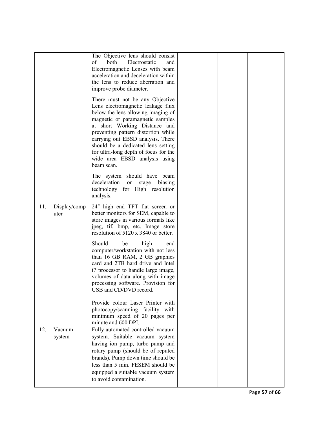|                      | The Objective lens should consist<br>of<br>both<br>Electrostatic<br>and<br>Electromagnetic Lenses with beam<br>acceleration and deceleration within<br>the lens to reduce aberration and<br>improve probe diameter.<br>There must not be any Objective                                                            |                                   |  |
|----------------------|-------------------------------------------------------------------------------------------------------------------------------------------------------------------------------------------------------------------------------------------------------------------------------------------------------------------|-----------------------------------|--|
|                      | below the lens allowing imaging of<br>magnetic or paramagnetic samples<br>at short Working Distance and<br>preventing pattern distortion while<br>carrying out EBSD analysis. There<br>should be a dedicated lens setting<br>for ultra-long depth of focus for the<br>wide area EBSD analysis using<br>beam scan. |                                   |  |
|                      | The system should have beam<br>deceleration or<br>stage biasing<br>technology for High resolution<br>analysis.                                                                                                                                                                                                    |                                   |  |
| Display/comp<br>uter | 24" high end TFT flat screen or<br>better monitors for SEM, capable to<br>store images in various formats like<br>jpeg, tif, bmp, etc. Image store<br>resolution of 5120 x 3840 or better.                                                                                                                        |                                   |  |
|                      | Should<br>be<br>high<br>end<br>computer/workstation with not less<br>than 16 GB RAM, 2 GB graphics<br>card and 2TB hard drive and Intel<br>i7 processor to handle large image,<br>volumes of data along with image<br>processing software. Provision for<br>USB and CD/DVD record.                                |                                   |  |
|                      | Provide colour Laser Printer with<br>photocopy/scanning facility with<br>minimum speed of 20 pages per<br>minute and 600 DPI.                                                                                                                                                                                     |                                   |  |
| Vacuum<br>system     | Fully automated controlled vacuum<br>system. Suitable vacuum system<br>having ion pump, turbo pump and<br>rotary pump (should be of reputed<br>brands). Pump down time should be<br>less than 5 min. FESEM should be<br>equipped a suitable vacuum system<br>to avoid contamination.                              |                                   |  |
|                      |                                                                                                                                                                                                                                                                                                                   | Lens electromagnetic leakage flux |  |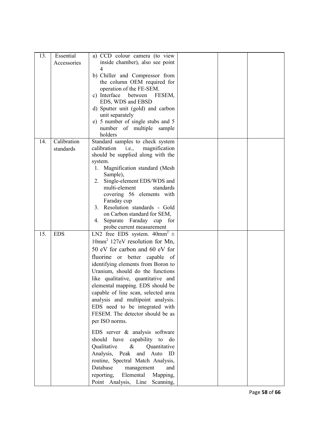| 13. | Essential   | a) CCD colour camera (to view              |  |  |
|-----|-------------|--------------------------------------------|--|--|
|     | Accessories | inside chamber), also see point            |  |  |
|     |             | 4                                          |  |  |
|     |             |                                            |  |  |
|     |             | b) Chiller and Compressor from             |  |  |
|     |             | the column OEM required for                |  |  |
|     |             | operation of the FE-SEM.                   |  |  |
|     |             | c) Interface<br>between<br>FESEM,          |  |  |
|     |             | EDS, WDS and EBSD                          |  |  |
|     |             | d) Sputter unit (gold) and carbon          |  |  |
|     |             | unit separately                            |  |  |
|     |             | e) 5 number of single stubs and 5          |  |  |
|     |             | number of multiple sample                  |  |  |
|     |             | holders                                    |  |  |
| 14. | Calibration | Standard samples to check system           |  |  |
|     | standards   | calibration<br>i.e.,<br>magnification      |  |  |
|     |             | should be supplied along with the          |  |  |
|     |             | system.                                    |  |  |
|     |             | Magnification standard (Mesh<br>1.         |  |  |
|     |             | Sample),                                   |  |  |
|     |             | Single-element EDS/WDS and<br>2.           |  |  |
|     |             | multi-element<br>standards                 |  |  |
|     |             | covering 56 elements with                  |  |  |
|     |             | Faraday cup                                |  |  |
|     |             | Resolution standards - Gold<br>3.          |  |  |
|     |             | on Carbon standard for SEM,                |  |  |
|     |             | Separate Faraday cup for<br>4.             |  |  |
|     |             | probe current measurement                  |  |  |
| 15. | <b>EDS</b>  | LN2 free EDS system. $40mm^2 \pm$          |  |  |
|     |             | 10mm <sup>2</sup> 127eV resolution for Mn, |  |  |
|     |             | 50 eV for carbon and 60 eV for             |  |  |
|     |             | fluorine or better capable of              |  |  |
|     |             | identifying elements from Boron to         |  |  |
|     |             | Uranium, should do the functions           |  |  |
|     |             |                                            |  |  |
|     |             | like qualitative, quantitative and         |  |  |
|     |             | elemental mapping. EDS should be           |  |  |
|     |             | capable of line scan, selected area        |  |  |
|     |             | analysis and multipoint analysis.          |  |  |
|     |             | EDS need to be integrated with             |  |  |
|     |             | FESEM. The detector should be as           |  |  |
|     |             | per ISO norms.                             |  |  |
|     |             |                                            |  |  |
|     |             | EDS server & analysis software             |  |  |
|     |             | should have capability to do               |  |  |
|     |             | Qualitative<br>$\&$<br>Quantitative        |  |  |
|     |             | Analysis, Peak<br>Auto<br>and<br>ID        |  |  |
|     |             | routine, Spectral Match Analysis,          |  |  |
|     |             | Database<br>management<br>and              |  |  |
|     |             | reporting,<br>Elemental<br>Mapping,        |  |  |
|     |             | Point Analysis, Line<br>Scanning,          |  |  |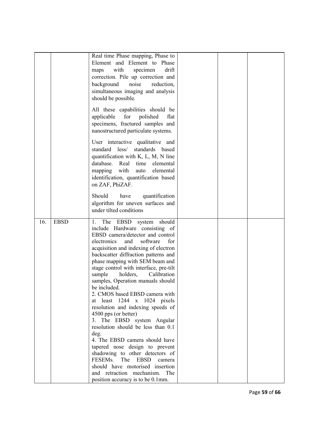|     |             | Real time Phase mapping, Phase to                                  |  |  |
|-----|-------------|--------------------------------------------------------------------|--|--|
|     |             | Element and Element to Phase                                       |  |  |
|     |             | with<br>drift<br>specimen<br>maps                                  |  |  |
|     |             | correction. Pile up correction and                                 |  |  |
|     |             | background<br>noise<br>reduction,                                  |  |  |
|     |             | simultaneous imaging and analysis                                  |  |  |
|     |             | should be possible.                                                |  |  |
|     |             |                                                                    |  |  |
|     |             | All these capabilities should be                                   |  |  |
|     |             | applicable<br>for<br>polished<br>flat                              |  |  |
|     |             | specimens, fractured samples and                                   |  |  |
|     |             | nanostructured particulate systems.                                |  |  |
|     |             |                                                                    |  |  |
|     |             | User interactive qualitative and                                   |  |  |
|     |             | standard less/ standards based                                     |  |  |
|     |             | quantification with K, L, M, N line                                |  |  |
|     |             | database.<br>Real<br>time<br>elemental                             |  |  |
|     |             | with<br>elemental<br>auto<br>mapping                               |  |  |
|     |             | identification, quantification based                               |  |  |
|     |             | on ZAF, PhiZAF.                                                    |  |  |
|     |             |                                                                    |  |  |
|     |             | Should<br>have<br>quantification                                   |  |  |
|     |             | algorithm for uneven surfaces and                                  |  |  |
|     |             | under tilted conditions                                            |  |  |
|     |             |                                                                    |  |  |
|     |             |                                                                    |  |  |
| 16. | <b>EBSD</b> | 1. The EBSD<br>should<br>system                                    |  |  |
|     |             | include Hardware consisting of                                     |  |  |
|     |             | EBSD camera/detector and control                                   |  |  |
|     |             | electronics<br>and<br>software<br>for                              |  |  |
|     |             | acquisition and indexing of electron                               |  |  |
|     |             | backscatter diffraction patterns and                               |  |  |
|     |             | phase mapping with SEM beam and                                    |  |  |
|     |             | stage control with interface, pre-tilt                             |  |  |
|     |             | holders,<br>Calibration<br>sample                                  |  |  |
|     |             | samples, Operation manuals should                                  |  |  |
|     |             | be included.                                                       |  |  |
|     |             | 2. CMOS based EBSD camera with                                     |  |  |
|     |             | least $1244 \times 1024$ pixels<br>at                              |  |  |
|     |             | resolution and indexing speeds of                                  |  |  |
|     |             | 4500 pps (or better)                                               |  |  |
|     |             | 3. The EBSD system Angular                                         |  |  |
|     |             | resolution should be less than 0.1                                 |  |  |
|     |             | deg.                                                               |  |  |
|     |             | 4. The EBSD camera should have                                     |  |  |
|     |             | tapered nose design to prevent                                     |  |  |
|     |             | shadowing to other detectors of                                    |  |  |
|     |             | FESEMs.<br>The EBSD<br>camera                                      |  |  |
|     |             | should have motorised insertion                                    |  |  |
|     |             | and retraction mechanism. The<br>position accuracy is to be 0.1mm. |  |  |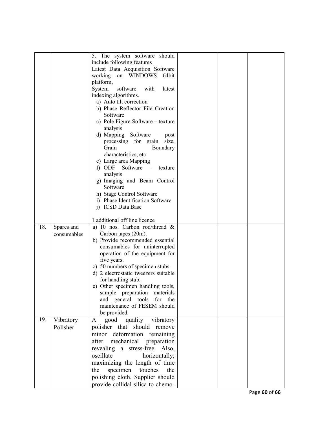|     |             | 5. The system software should                                                                                      |  |  |
|-----|-------------|--------------------------------------------------------------------------------------------------------------------|--|--|
|     |             | include following features                                                                                         |  |  |
|     |             | Latest Data Acquisition Software                                                                                   |  |  |
|     |             | working on WINDOWS<br>64bit                                                                                        |  |  |
|     |             | platform,<br>System<br>software<br>with<br>latest                                                                  |  |  |
|     |             |                                                                                                                    |  |  |
|     |             | indexing algorithms.<br>a) Auto tilt correction                                                                    |  |  |
|     |             | b) Phase Reflector File Creation                                                                                   |  |  |
|     |             | Software                                                                                                           |  |  |
|     |             | c) Pole Figure Software – texture                                                                                  |  |  |
|     |             | analysis                                                                                                           |  |  |
|     |             | d) Mapping Software $-$<br>post                                                                                    |  |  |
|     |             | processing for grain<br>size,                                                                                      |  |  |
|     |             | Grain<br>Boundary                                                                                                  |  |  |
|     |             | characteristics, etc                                                                                               |  |  |
|     |             | e) Large area Mapping                                                                                              |  |  |
|     |             | f) ODF Software<br>$\hspace{0.1cm}$ $\hspace{0.1cm}$ $\hspace{0.1cm}$ $\hspace{0.1cm}$ $\hspace{0.1cm}$<br>texture |  |  |
|     |             | analysis                                                                                                           |  |  |
|     |             | g) Imaging and Beam Control                                                                                        |  |  |
|     |             | Software                                                                                                           |  |  |
|     |             | h) Stage Control Software                                                                                          |  |  |
|     |             | i) Phase Identification Software                                                                                   |  |  |
|     |             | j) ICSD Data Base                                                                                                  |  |  |
|     |             | 1 additional off line licence                                                                                      |  |  |
| 18. | Spares and  | a) 10 nos. Carbon rod/thread $\&$                                                                                  |  |  |
|     | consumables | Carbon tapes (20m).                                                                                                |  |  |
|     |             | b) Provide recommended essential                                                                                   |  |  |
|     |             | consumables for uninterrupted                                                                                      |  |  |
|     |             | operation of the equipment for                                                                                     |  |  |
|     |             | five years.                                                                                                        |  |  |
|     |             | c) 50 numbers of specimen stubs.                                                                                   |  |  |
|     |             | d) 2 electrostatic tweezers suitable                                                                               |  |  |
|     |             | for handling stub.                                                                                                 |  |  |
|     |             | e) Other specimen handling tools,                                                                                  |  |  |
|     |             | sample preparation materials                                                                                       |  |  |
|     |             | and general tools for the                                                                                          |  |  |
|     |             | maintenance of FESEM should                                                                                        |  |  |
| 19. |             | be provided.                                                                                                       |  |  |
|     | Vibratory   | quality vibratory<br>good<br>A                                                                                     |  |  |
|     | Polisher    | polisher that should remove                                                                                        |  |  |
|     |             | minor deformation remaining                                                                                        |  |  |
|     |             | after<br>mechanical preparation                                                                                    |  |  |
|     |             | revealing a stress-free. Also,                                                                                     |  |  |
|     |             | oscillate<br>horizontally;                                                                                         |  |  |
|     |             | maximizing the length of time                                                                                      |  |  |
|     |             | specimen touches<br>the<br>the                                                                                     |  |  |
|     |             | polishing cloth. Supplier should                                                                                   |  |  |
|     |             | provide collidal silica to chemo-                                                                                  |  |  |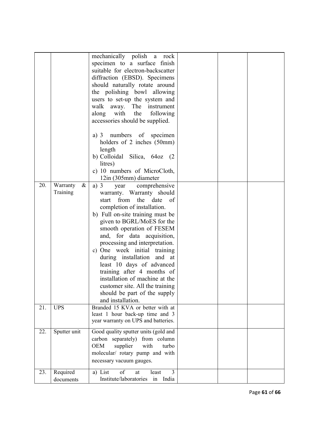|     |                              | mechanically polish a rock<br>specimen to a surface finish<br>suitable for electron-backscatter<br>diffraction (EBSD). Specimens<br>should naturally rotate around<br>the polishing bowl allowing<br>users to set-up the system and<br>walk<br>away. The instrument<br>the<br>along with<br>following<br>accessories should be supplied.<br>a) 3 numbers of specimen<br>holders of 2 inches (50mm)<br>length<br>b) Colloidal Silica, 64oz (2                                                                                               |  |  |
|-----|------------------------------|--------------------------------------------------------------------------------------------------------------------------------------------------------------------------------------------------------------------------------------------------------------------------------------------------------------------------------------------------------------------------------------------------------------------------------------------------------------------------------------------------------------------------------------------|--|--|
|     |                              | litres)                                                                                                                                                                                                                                                                                                                                                                                                                                                                                                                                    |  |  |
|     |                              | c) 10 numbers of MicroCloth,<br>12in (305mm) diameter                                                                                                                                                                                                                                                                                                                                                                                                                                                                                      |  |  |
| 20. | Warranty<br>$\&$<br>Training | a) $3$<br>comprehensive<br>year<br>warranty. Warranty should<br>from the date of<br>start<br>completion of installation.<br>b) Full on-site training must be<br>given to BGRL/MoES for the<br>smooth operation of FESEM<br>and, for data acquisition,<br>processing and interpretation.<br>c) One week initial training<br>during installation and at<br>least 10 days of advanced<br>training after 4 months of<br>installation of machine at the<br>customer site. All the training<br>should be part of the supply<br>and installation. |  |  |
| 21. | <b>UPS</b>                   | Branded 15 KVA or better with at<br>least 1 hour back-up time and 3<br>year warranty on UPS and batteries.                                                                                                                                                                                                                                                                                                                                                                                                                                 |  |  |
| 22. | Sputter unit                 | Good quality sputter units (gold and<br>carbon separately) from column<br><b>OEM</b><br>supplier<br>with<br>turbo<br>molecular/ rotary pump and with<br>necessary vacuum gauges.                                                                                                                                                                                                                                                                                                                                                           |  |  |
| 23. | Required<br>documents        | of<br>3<br>a) List<br>least<br>at<br>Institute/laboratories<br>in India                                                                                                                                                                                                                                                                                                                                                                                                                                                                    |  |  |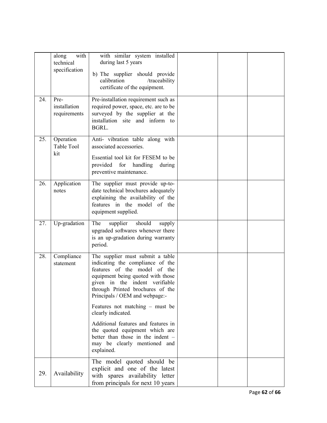|     | with<br>along<br>technical<br>specification | with similar system installed<br>during last 5 years<br>b) The supplier should provide<br>calibration<br>/traceability<br>certificate of the equipment.                                                                                                                                                      |  |  |
|-----|---------------------------------------------|--------------------------------------------------------------------------------------------------------------------------------------------------------------------------------------------------------------------------------------------------------------------------------------------------------------|--|--|
| 24. | Pre-<br>installation<br>requirements        | Pre-installation requirement such as<br>required power, space, etc. are to be<br>surveyed by the supplier at the<br>installation site and inform to<br>BGRL.                                                                                                                                                 |  |  |
| 25. | Operation<br>Table Tool<br>kit              | Anti- vibration table along with<br>associated accessories.<br>Essential tool kit for FESEM to be<br>provided for handling<br>during<br>preventive maintenance.                                                                                                                                              |  |  |
| 26. | Application<br>notes                        | The supplier must provide up-to-<br>date technical brochures adequately<br>explaining the availability of the<br>features in the model of the<br>equipment supplied.                                                                                                                                         |  |  |
| 27. | Up-gradation                                | supplier<br>The<br>should<br>supply<br>upgraded softwares whenever there<br>is an up-gradation during warranty<br>period.                                                                                                                                                                                    |  |  |
| 28. | Compliance<br>statement                     | The supplier must submit a table<br>indicating the compliance of the<br>features of the model of the<br>equipment being quoted with those<br>given in the indent verifiable<br>through Printed brochures of the<br>Principals / OEM and webpage:-<br>Features not matching $-$ must be<br>clearly indicated. |  |  |
|     |                                             | Additional features and features in<br>the quoted equipment which are<br>better than those in the indent -<br>may be clearly mentioned and<br>explained.                                                                                                                                                     |  |  |
| 29. | Availability                                | The model quoted should be<br>explicit and one of the latest<br>with spares availability letter<br>from principals for next 10 years                                                                                                                                                                         |  |  |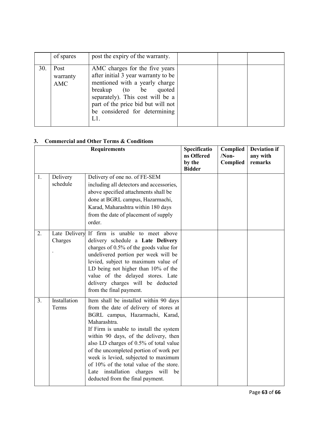|     | of spares               | post the expiry of the warranty.                                                                                                                                                                                                                         |  |  |
|-----|-------------------------|----------------------------------------------------------------------------------------------------------------------------------------------------------------------------------------------------------------------------------------------------------|--|--|
| 30. | Post<br>warranty<br>AMC | AMC charges for the five years<br>after initial 3 year warranty to be<br>mentioned with a yearly charge<br>breakup (to be<br>quoted<br>separately). This cost will be a<br>part of the price bid but will not<br>be considered for determining<br>$L1$ . |  |  |

## 3. Commercial and Other Terms & Conditions

|                |                       | <b>Requirements</b>                                                                                                                                                                                                                                                                                                                                                                                                                                                        | Specificatio<br>ns Offered<br>by the<br><b>Bidder</b> | Complied<br>$/Non-$<br>Complied | <b>Deviation if</b><br>any with<br>remarks |
|----------------|-----------------------|----------------------------------------------------------------------------------------------------------------------------------------------------------------------------------------------------------------------------------------------------------------------------------------------------------------------------------------------------------------------------------------------------------------------------------------------------------------------------|-------------------------------------------------------|---------------------------------|--------------------------------------------|
| 1.             | Delivery<br>schedule  | Delivery of one no. of FE-SEM<br>including all detectors and accessories,<br>above specified attachments shall be<br>done at BGRL campus, Hazarmachi,<br>Karad, Maharashtra within 180 days<br>from the date of placement of supply<br>order.                                                                                                                                                                                                                              |                                                       |                                 |                                            |
| 2.             | Charges               | Late Delivery If firm is unable to meet above<br>delivery schedule a Late Delivery<br>charges of 0.5% of the goods value for<br>undelivered portion per week will be<br>levied, subject to maximum value of<br>LD being not higher than 10% of the<br>value of the delayed stores. Late<br>delivery charges will be deducted<br>from the final payment.                                                                                                                    |                                                       |                                 |                                            |
| 3 <sub>1</sub> | Installation<br>Terms | Item shall be installed within 90 days<br>from the date of delivery of stores at<br>BGRL campus, Hazarmachi, Karad,<br>Maharashtra.<br>If Firm is unable to install the system<br>within 90 days, of the delivery, then<br>also LD charges of 0.5% of total value<br>of the uncompleted portion of work per<br>week is levied, subjected to maximum<br>of 10% of the total value of the store.<br>Late installation charges will<br>be<br>deducted from the final payment. |                                                       |                                 |                                            |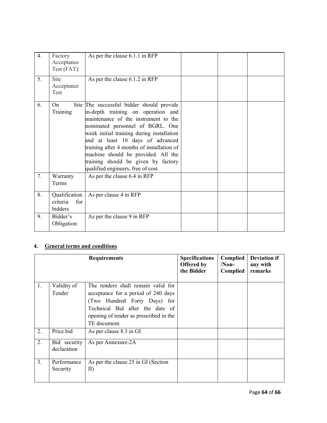| $\overline{4}$ . | Factory<br>Acceptance<br>Test (FAT):        | As per the clause 6.1.1 in RFP                                                                                                                                                                                                                                                                                                                                                                                 |  |  |
|------------------|---------------------------------------------|----------------------------------------------------------------------------------------------------------------------------------------------------------------------------------------------------------------------------------------------------------------------------------------------------------------------------------------------------------------------------------------------------------------|--|--|
| 5.               | <b>Site</b><br>Acceptance<br>Test           | As per the clause 6.1.2 in RFP                                                                                                                                                                                                                                                                                                                                                                                 |  |  |
| 6.               | On.<br>Training                             | Site The successful bidder should provide<br>in-depth training on operation and<br>maintenance of the instrument to the<br>nominated personnel of BGRL. One<br>week initial training during installation<br>and at least 10 days of advanced<br>training after 4 months of installation of<br>machine should be provided. All the<br>training should be given by factory<br>qualified engineers, free of cost. |  |  |
| 7.               | Warranty<br>Terms                           | As per the clause 6.4 in RFP                                                                                                                                                                                                                                                                                                                                                                                   |  |  |
| 8.               | Qualification<br>criteria<br>for<br>bidders | As per clause 4 in RFP                                                                                                                                                                                                                                                                                                                                                                                         |  |  |
| 9.               | Bidder's<br>Obligation:                     | As per the clause 9 in RFP                                                                                                                                                                                                                                                                                                                                                                                     |  |  |

## 4. General terms and conditions

|    |                             | <b>Requirements</b>                       | <b>Specifications</b><br>Offered by<br>the Bidder | Complied<br>$/Non-$<br>Complied | <b>Deviation if</b><br>any with<br>remarks |
|----|-----------------------------|-------------------------------------------|---------------------------------------------------|---------------------------------|--------------------------------------------|
| 1. | Validity of                 | The tenders shall remain valid for        |                                                   |                                 |                                            |
|    | Tender                      | acceptance for a period of 240 days       |                                                   |                                 |                                            |
|    |                             | (Two Hundred Forty Days) for              |                                                   |                                 |                                            |
|    |                             | Technical Bid after the date of           |                                                   |                                 |                                            |
|    |                             | opening of tender as prescribed in the    |                                                   |                                 |                                            |
|    |                             | TE document                               |                                                   |                                 |                                            |
| 2. | Price bid                   | As per clause 8.3 in GI                   |                                                   |                                 |                                            |
| 2. | Bid security<br>declaration | As per Annexure-2A                        |                                                   |                                 |                                            |
| 3. | Performance<br>Security     | As per the clause 25 in GI (Section<br>II |                                                   |                                 |                                            |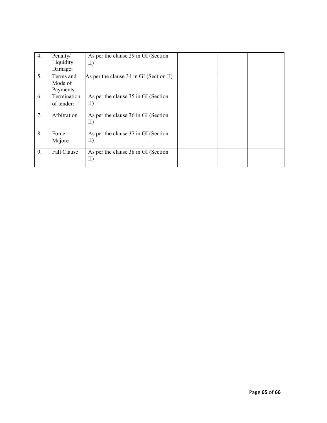| $\overline{4}$ . | Penalty/    | As per the clause 29 in GI (Section     |  |  |
|------------------|-------------|-----------------------------------------|--|--|
|                  |             |                                         |  |  |
|                  | Liquidity   | $\rm II)$                               |  |  |
|                  | Damage:     |                                         |  |  |
| 5.               | Terms and   | As per the clause 34 in GI (Section II) |  |  |
|                  | Mode of     |                                         |  |  |
|                  | Payments:   |                                         |  |  |
| 6.               | Termination | As per the clause 35 in GI (Section     |  |  |
|                  | of tender:  | $\rm II)$                               |  |  |
|                  |             |                                         |  |  |
| 7.               | Arbitration | As per the clause 36 in GI (Section     |  |  |
|                  |             | $\text{II}$                             |  |  |
|                  |             |                                         |  |  |
| 8.               | Force       | As per the clause 37 in GI (Section     |  |  |
|                  | Majore      | $\rm II)$                               |  |  |
|                  |             |                                         |  |  |
| 9.               | Fall Clause | As per the clause 38 in GI (Section     |  |  |
|                  |             | $\text{II}$                             |  |  |
|                  |             |                                         |  |  |